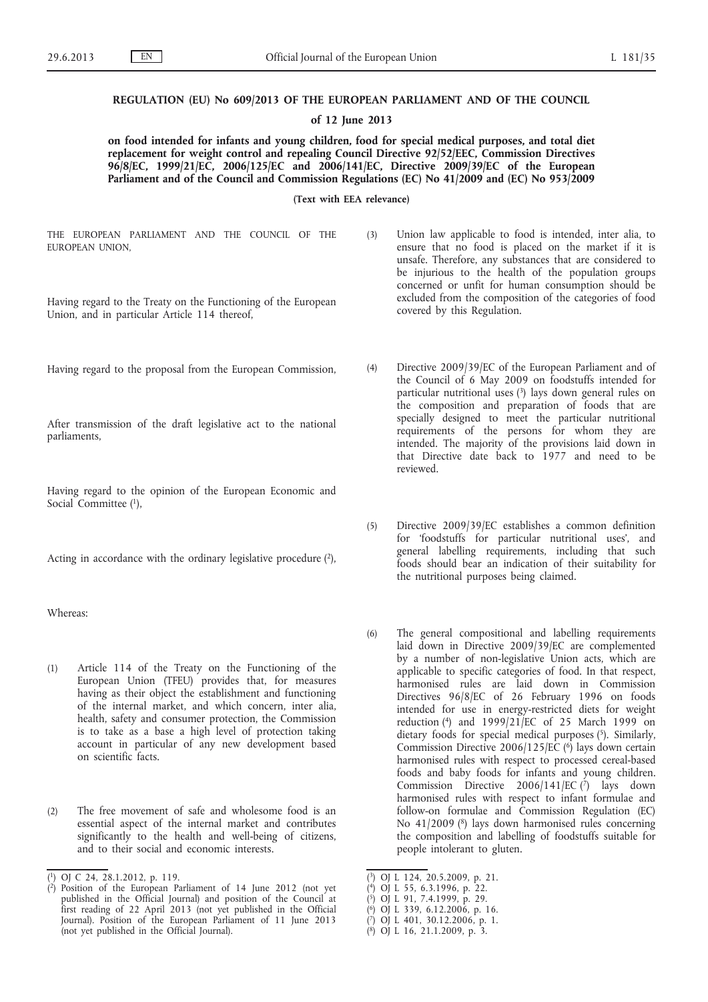### **REGULATION (EU) No 609/2013 OF THE EUROPEAN PARLIAMENT AND OF THE COUNCIL**

#### **of 12 June 2013**

**on food intended for infants and young children, food for special medical purposes, and total diet replacement for weight control and repealing Council Directive 92/52/EEC, Commission Directives 96/8/EC, 1999/21/EC, 2006/125/EC and 2006/141/EC, Directive 2009/39/EC of the European Parliament and of the Council and Commission Regulations (EC) No 41/2009 and (EC) No 953/2009**

**(Text with EEA relevance)**

THE EUROPEAN PARLIAMENT AND THE COUNCIL OF THE EUROPEAN UNION,

Having regard to the Treaty on the Functioning of the European Union, and in particular Article 114 thereof,

Having regard to the proposal from the European Commission,

After transmission of the draft legislative act to the national parliaments,

Having regard to the opinion of the European Economic and Social Committee (1),

Acting in accordance with the ordinary legislative procedure (2),

Whereas:

- (1) Article 114 of the Treaty on the Functioning of the European Union (TFEU) provides that, for measures having as their object the establishment and functioning of the internal market, and which concern, inter alia, health, safety and consumer protection, the Commission is to take as a base a high level of protection taking account in particular of any new development based on scientific facts.
- (2) The free movement of safe and wholesome food is an essential aspect of the internal market and contributes significantly to the health and well-being of citizens, and to their social and economic interests.
- (3) Union law applicable to food is intended, inter alia, to ensure that no food is placed on the market if it is unsafe. Therefore, any substances that are considered to be injurious to the health of the population groups concerned or unfit for human consumption should be excluded from the composition of the categories of food covered by this Regulation.
	- (4) Directive 2009/39/EC of the European Parliament and of the Council of 6 May 2009 on foodstuffs intended for particular nutritional uses (3) lays down general rules on the composition and preparation of foods that are specially designed to meet the particular nutritional requirements of the persons for whom they are intended. The majority of the provisions laid down in that Directive date back to 1977 and need to be reviewed.
	- (5) Directive 2009/39/EC establishes a common definition for 'foodstuffs for particular nutritional uses', and general labelling requirements, including that such foods should bear an indication of their suitability for the nutritional purposes being claimed.
	- (6) The general compositional and labelling requirements laid down in Directive 2009/39/EC are complemented by a number of non-legislative Union acts, which are applicable to specific categories of food. In that respect, harmonised rules are laid down in Commission Directives 96/8/EC of 26 February 1996 on foods intended for use in energy-restricted diets for weight reduction (4) and 1999/21/EC of 25 March 1999 on dietary foods for special medical purposes (5). Similarly, Commission Directive 2006/125/EC  $(6)$  lays down certain harmonised rules with respect to processed cereal-based foods and baby foods for infants and young children. Commission Directive 2006/141/EC (7) lays down harmonised rules with respect to infant formulae and follow-on formulae and Commission Regulation (EC) No 41/2009 (8) lays down harmonised rules concerning the composition and labelling of foodstuffs suitable for people intolerant to gluten.

- ( 4) OJ L 55, 6.3.1996, p. 22.
- ( 5) OJ L 91, 7.4.1999, p. 29.
- ( 6) OJ L 339, 6.12.2006, p. 16. ( 7) OJ L 401, 30.12.2006, p. 1.

<sup>(</sup> 1) OJ C 24, 28.1.2012, p. 119.

<sup>(</sup> 2) Position of the European Parliament of 14 June 2012 (not yet published in the Official Journal) and position of the Council at first reading of 22 April 2013 (not yet published in the Official Journal). Position of the European Parliament of 11 June 2013 (not yet published in the Official Journal).

<sup>(</sup> 3) OJ L 124, 20.5.2009, p. 21.

<sup>(</sup> 8) OJ L 16, 21.1.2009, p. 3.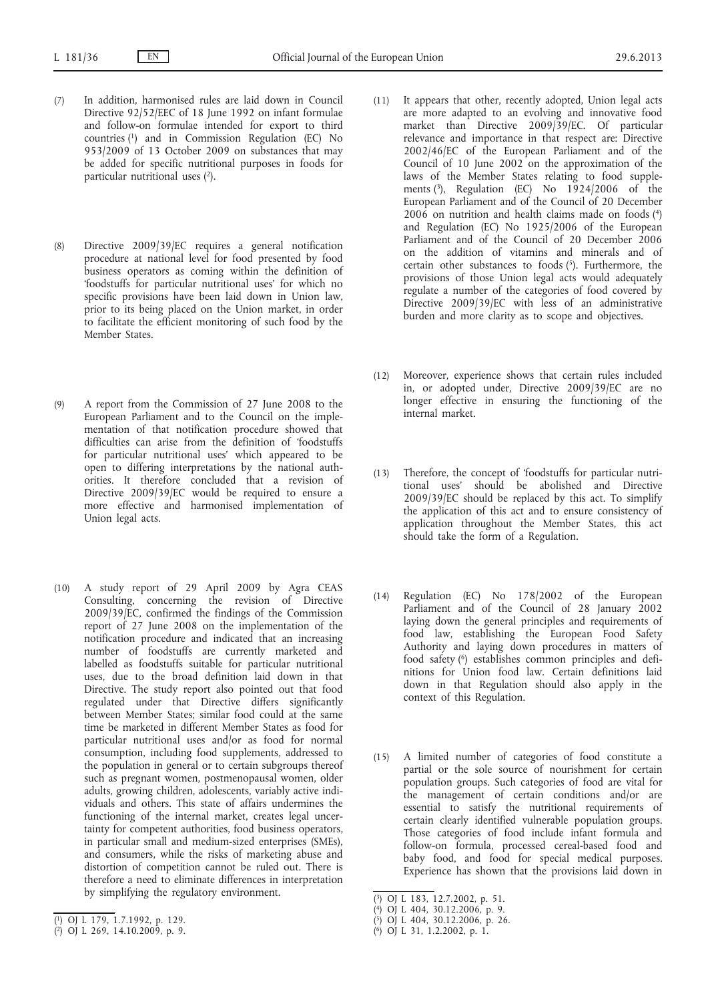- (7) In addition, harmonised rules are laid down in Council Directive 92/52/EEC of 18 June 1992 on infant formulae and follow-on formulae intended for export to third countries (1) and in Commission Regulation (EC) No 953/2009 of 13 October 2009 on substances that may be added for specific nutritional purposes in foods for particular nutritional uses (2).
- (8) Directive 2009/39/EC requires a general notification procedure at national level for food presented by food business operators as coming within the definition of 'foodstuffs for particular nutritional uses' for which no specific provisions have been laid down in Union law, prior to its being placed on the Union market, in order to facilitate the efficient monitoring of such food by the Member States.
- (9) A report from the Commission of 27 June 2008 to the European Parliament and to the Council on the implementation of that notification procedure showed that difficulties can arise from the definition of 'foodstuffs for particular nutritional uses' which appeared to be open to differing interpretations by the national authorities. It therefore concluded that a revision of Directive 2009/39/EC would be required to ensure a more effective and harmonised implementation of Union legal acts.
- (10) A study report of 29 April 2009 by Agra CEAS Consulting, concerning the revision of Directive 2009/39/EC, confirmed the findings of the Commission report of 27 June 2008 on the implementation of the notification procedure and indicated that an increasing number of foodstuffs are currently marketed and labelled as foodstuffs suitable for particular nutritional uses, due to the broad definition laid down in that Directive. The study report also pointed out that food regulated under that Directive differs significantly between Member States; similar food could at the same time be marketed in different Member States as food for particular nutritional uses and/or as food for normal consumption, including food supplements, addressed to the population in general or to certain subgroups thereof such as pregnant women, postmenopausal women, older adults, growing children, adolescents, variably active individuals and others. This state of affairs undermines the functioning of the internal market, creates legal uncertainty for competent authorities, food business operators, in particular small and medium-sized enterprises (SMEs), and consumers, while the risks of marketing abuse and distortion of competition cannot be ruled out. There is therefore a need to eliminate differences in interpretation by simplifying the regulatory environment.
- (11) It appears that other, recently adopted, Union legal acts are more adapted to an evolving and innovative food market than Directive 2009/39/EC. Of particular relevance and importance in that respect are: Directive 2002/46/EC of the European Parliament and of the Council of 10 June 2002 on the approximation of the laws of the Member States relating to food supplements  $(3)$ , Regulation (EC) No  $1924/2006$  of the European Parliament and of the Council of 20 December  $2006$  on nutrition and health claims made on foods (4) and Regulation (EC) No 1925/2006 of the European Parliament and of the Council of 20 December 2006 on the addition of vitamins and minerals and of certain other substances to foods (5). Furthermore, the provisions of those Union legal acts would adequately regulate a number of the categories of food covered by Directive 2009/39/EC with less of an administrative burden and more clarity as to scope and objectives.
- (12) Moreover, experience shows that certain rules included in, or adopted under, Directive 2009/39/EC are no longer effective in ensuring the functioning of the internal market.
- (13) Therefore, the concept of 'foodstuffs for particular nutritional uses' should be abolished and Directive 2009/39/EC should be replaced by this act. To simplify the application of this act and to ensure consistency of application throughout the Member States, this act should take the form of a Regulation.
- (14) Regulation (EC) No 178/2002 of the European Parliament and of the Council of 28 January 2002 laying down the general principles and requirements of food law, establishing the European Food Safety Authority and laying down procedures in matters of food safety (6) establishes common principles and definitions for Union food law. Certain definitions laid down in that Regulation should also apply in the context of this Regulation.
- (15) A limited number of categories of food constitute a partial or the sole source of nourishment for certain population groups. Such categories of food are vital for the management of certain conditions and/or are essential to satisfy the nutritional requirements of certain clearly identified vulnerable population groups. Those categories of food include infant formula and follow-on formula, processed cereal-based food and baby food, and food for special medical purposes. Experience has shown that the provisions laid down in

<sup>(</sup> 1) OJ L 179, 1.7.1992, p. 129.

<sup>(</sup> 2) OJ L 269, 14.10.2009, p. 9.

<sup>(</sup> 3) OJ L 183, 12.7.2002, p. 51.

<sup>(</sup> 4) OJ L 404, 30.12.2006, p. 9.

<sup>(</sup> 5) OJ L 404, 30.12.2006, p. 26.

<sup>(</sup> 6) OJ L 31, 1.2.2002, p. 1.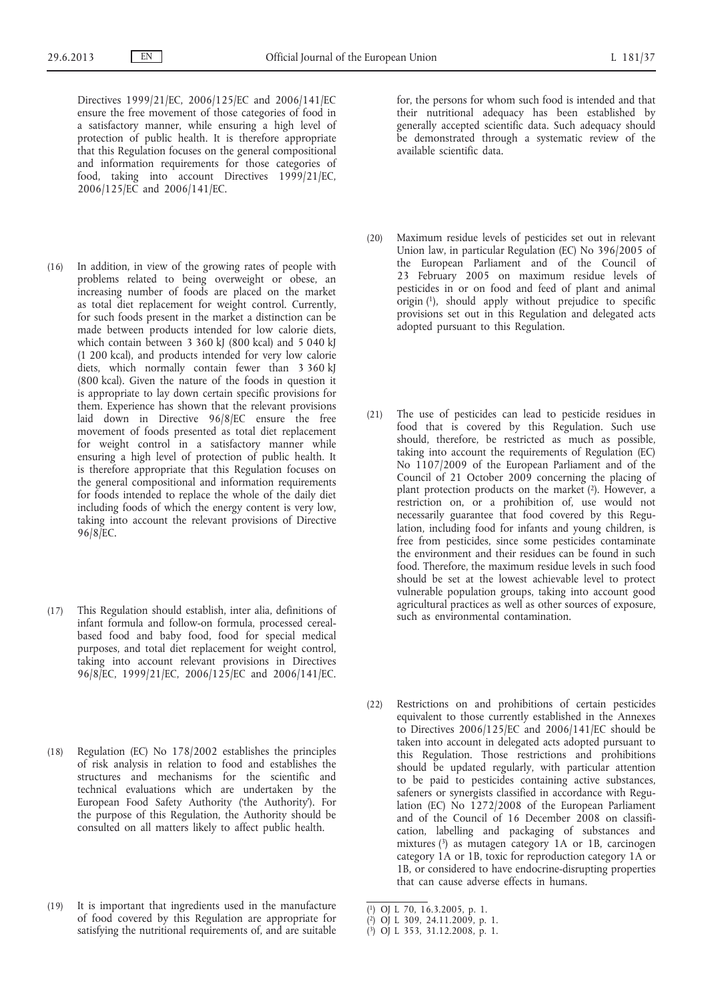Directives 1999/21/EC, 2006/125/EC and 2006/141/EC ensure the free movement of those categories of food in a satisfactory manner, while ensuring a high level of protection of public health. It is therefore appropriate that this Regulation focuses on the general compositional and information requirements for those categories of food, taking into account Directives 1999/21/EC, 2006/125/EC and 2006/141/EC.

- (16) In addition, in view of the growing rates of people with problems related to being overweight or obese, an increasing number of foods are placed on the market as total diet replacement for weight control. Currently, for such foods present in the market a distinction can be made between products intended for low calorie diets, which contain between 3 360 kJ (800 kcal) and 5 040 kJ (1 200 kcal), and products intended for very low calorie diets, which normally contain fewer than 3 360 kJ (800 kcal). Given the nature of the foods in question it is appropriate to lay down certain specific provisions for them. Experience has shown that the relevant provisions laid down in Directive 96/8/EC ensure the free movement of foods presented as total diet replacement for weight control in a satisfactory manner while ensuring a high level of protection of public health. It is therefore appropriate that this Regulation focuses on the general compositional and information requirements for foods intended to replace the whole of the daily diet including foods of which the energy content is very low, taking into account the relevant provisions of Directive 96/8/EC.
- (17) This Regulation should establish, inter alia, definitions of infant formula and follow-on formula, processed cerealbased food and baby food, food for special medical purposes, and total diet replacement for weight control, taking into account relevant provisions in Directives 96/8/EC, 1999/21/EC, 2006/125/EC and 2006/141/EC.
- (18) Regulation (EC) No 178/2002 establishes the principles of risk analysis in relation to food and establishes the structures and mechanisms for the scientific and technical evaluations which are undertaken by the European Food Safety Authority ('the Authority'). For the purpose of this Regulation, the Authority should be consulted on all matters likely to affect public health.
- (19) It is important that ingredients used in the manufacture of food covered by this Regulation are appropriate for satisfying the nutritional requirements of, and are suitable

for, the persons for whom such food is intended and that their nutritional adequacy has been established by generally accepted scientific data. Such adequacy should be demonstrated through a systematic review of the available scientific data.

- (20) Maximum residue levels of pesticides set out in relevant Union law, in particular Regulation (EC) No 396/2005 of the European Parliament and of the Council of 23 February 2005 on maximum residue levels of pesticides in or on food and feed of plant and animal origin (1), should apply without prejudice to specific provisions set out in this Regulation and delegated acts adopted pursuant to this Regulation.
- (21) The use of pesticides can lead to pesticide residues in food that is covered by this Regulation. Such use should, therefore, be restricted as much as possible, taking into account the requirements of Regulation (EC) No 1107/2009 of the European Parliament and of the Council of 21 October 2009 concerning the placing of plant protection products on the market (2). However, a restriction on, or a prohibition of, use would not necessarily guarantee that food covered by this Regulation, including food for infants and young children, is free from pesticides, since some pesticides contaminate the environment and their residues can be found in such food. Therefore, the maximum residue levels in such food should be set at the lowest achievable level to protect vulnerable population groups, taking into account good agricultural practices as well as other sources of exposure, such as environmental contamination.
- (22) Restrictions on and prohibitions of certain pesticides equivalent to those currently established in the Annexes to Directives 2006/125/EC and 2006/141/EC should be taken into account in delegated acts adopted pursuant to this Regulation. Those restrictions and prohibitions should be updated regularly, with particular attention to be paid to pesticides containing active substances, safeners or synergists classified in accordance with Regulation (EC) No 1272/2008 of the European Parliament and of the Council of 16 December 2008 on classification, labelling and packaging of substances and mixtures (3) as mutagen category 1A or 1B, carcinogen category 1A or 1B, toxic for reproduction category 1A or 1B, or considered to have endocrine-disrupting properties that can cause adverse effects in humans.

<sup>(</sup> 1) OJ L 70, 16.3.2005, p. 1.

<sup>(</sup> 2) OJ L 309, 24.11.2009, p. 1.

<sup>(</sup> 3) OJ L 353, 31.12.2008, p. 1.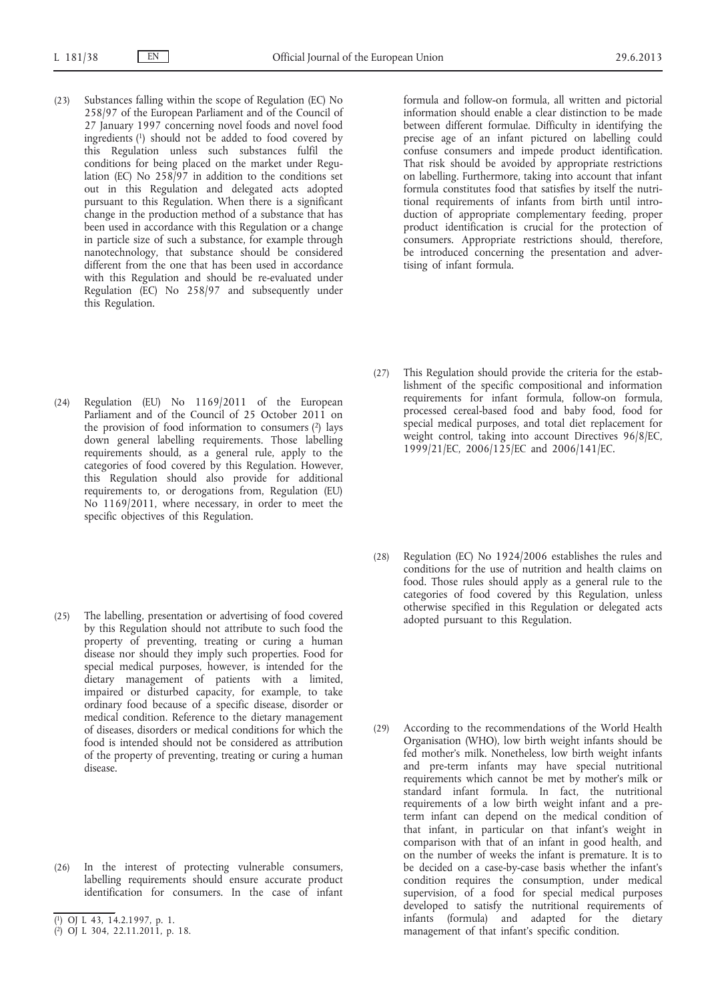- (23) Substances falling within the scope of Regulation (EC) No 258/97 of the European Parliament and of the Council of 27 January 1997 concerning novel foods and novel food ingredients (1) should not be added to food covered by this Regulation unless such substances fulfil the conditions for being placed on the market under Regulation (EC) No  $258/97$  in addition to the conditions set out in this Regulation and delegated acts adopted pursuant to this Regulation. When there is a significant change in the production method of a substance that has been used in accordance with this Regulation or a change in particle size of such a substance, for example through nanotechnology, that substance should be considered different from the one that has been used in accordance with this Regulation and should be re-evaluated under Regulation (EC) No 258/97 and subsequently under this Regulation.
- (24) Regulation (EU) No 1169/2011 of the European Parliament and of the Council of 25 October 2011 on the provision of food information to consumers  $(2)$  lays down general labelling requirements. Those labelling requirements should, as a general rule, apply to the categories of food covered by this Regulation. However, this Regulation should also provide for additional requirements to, or derogations from, Regulation (EU) No 1169/2011, where necessary, in order to meet the specific objectives of this Regulation.
- (25) The labelling, presentation or advertising of food covered by this Regulation should not attribute to such food the property of preventing, treating or curing a human disease nor should they imply such properties. Food for special medical purposes, however, is intended for the dietary management of patients with a limited, impaired or disturbed capacity, for example, to take ordinary food because of a specific disease, disorder or medical condition. Reference to the dietary management of diseases, disorders or medical conditions for which the food is intended should not be considered as attribution of the property of preventing, treating or curing a human disease.
- (26) In the interest of protecting vulnerable consumers, labelling requirements should ensure accurate product identification for consumers. In the case of infant

formula and follow-on formula, all written and pictorial information should enable a clear distinction to be made between different formulae. Difficulty in identifying the precise age of an infant pictured on labelling could confuse consumers and impede product identification. That risk should be avoided by appropriate restrictions on labelling. Furthermore, taking into account that infant formula constitutes food that satisfies by itself the nutritional requirements of infants from birth until introduction of appropriate complementary feeding, proper product identification is crucial for the protection of consumers. Appropriate restrictions should, therefore, be introduced concerning the presentation and advertising of infant formula.

- (27) This Regulation should provide the criteria for the establishment of the specific compositional and information requirements for infant formula, follow-on formula, processed cereal-based food and baby food, food for special medical purposes, and total diet replacement for weight control, taking into account Directives 96/8/EC, 1999/21/EC, 2006/125/EC and 2006/141/EC.
- (28) Regulation (EC) No 1924/2006 establishes the rules and conditions for the use of nutrition and health claims on food. Those rules should apply as a general rule to the categories of food covered by this Regulation, unless otherwise specified in this Regulation or delegated acts adopted pursuant to this Regulation.
- (29) According to the recommendations of the World Health Organisation (WHO), low birth weight infants should be fed mother's milk. Nonetheless, low birth weight infants and pre-term infants may have special nutritional requirements which cannot be met by mother's milk or standard infant formula. In fact, the nutritional requirements of a low birth weight infant and a preterm infant can depend on the medical condition of that infant, in particular on that infant's weight in comparison with that of an infant in good health, and on the number of weeks the infant is premature. It is to be decided on a case-by-case basis whether the infant's condition requires the consumption, under medical supervision, of a food for special medical purposes developed to satisfy the nutritional requirements of infants (formula) and adapted for the dietary management of that infant's specific condition.

<sup>(</sup> 1) OJ L 43, 14.2.1997, p. 1.

<sup>(</sup> 2) OJ L 304, 22.11.2011, p. 18.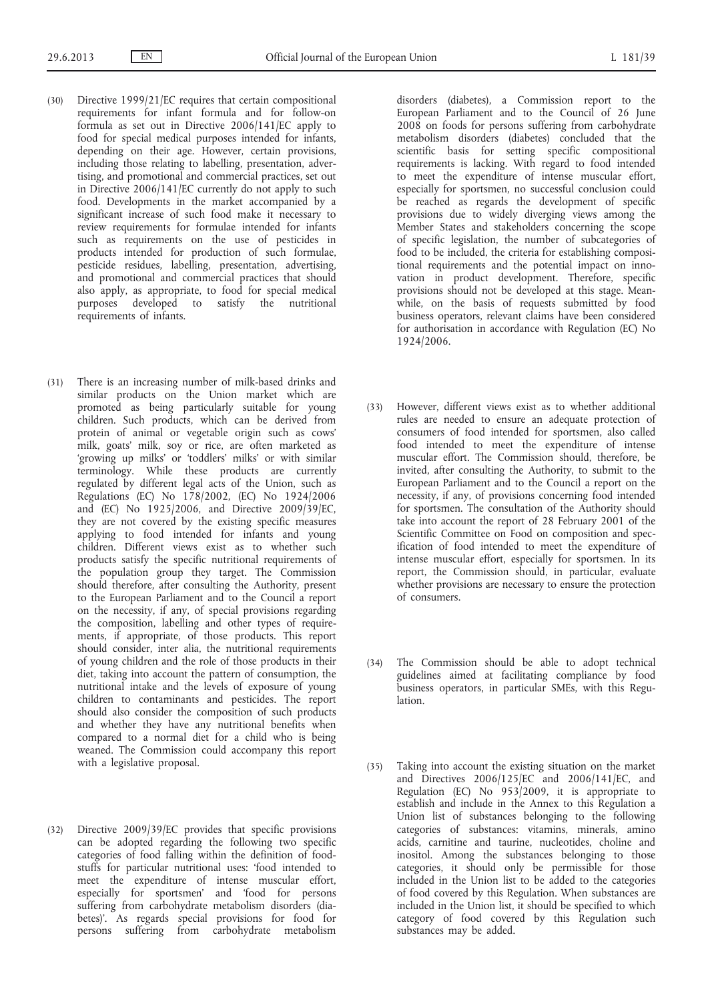- (30) Directive 1999/21/EC requires that certain compositional requirements for infant formula and for follow-on formula as set out in Directive 2006/141/EC apply to food for special medical purposes intended for infants, depending on their age. However, certain provisions, including those relating to labelling, presentation, advertising, and promotional and commercial practices, set out in Directive 2006/141/EC currently do not apply to such food. Developments in the market accompanied by a significant increase of such food make it necessary to review requirements for formulae intended for infants such as requirements on the use of pesticides in products intended for production of such formulae, pesticide residues, labelling, presentation, advertising, and promotional and commercial practices that should also apply, as appropriate, to food for special medical purposes developed to satisfy the nutritional requirements of infants.
- (31) There is an increasing number of milk-based drinks and similar products on the Union market which are promoted as being particularly suitable for young children. Such products, which can be derived from protein of animal or vegetable origin such as cows' milk, goats' milk, soy or rice, are often marketed as 'growing up milks' or 'toddlers' milks' or with similar terminology. While these products are currently regulated by different legal acts of the Union, such as Regulations (EC) No 178/2002, (EC) No 1924/2006 and (EC) No 1925/2006, and Directive 2009/39/EC, they are not covered by the existing specific measures applying to food intended for infants and young children. Different views exist as to whether such products satisfy the specific nutritional requirements of the population group they target. The Commission should therefore, after consulting the Authority, present to the European Parliament and to the Council a report on the necessity, if any, of special provisions regarding the composition, labelling and other types of requirements, if appropriate, of those products. This report should consider, inter alia, the nutritional requirements of young children and the role of those products in their diet, taking into account the pattern of consumption, the nutritional intake and the levels of exposure of young children to contaminants and pesticides. The report should also consider the composition of such products and whether they have any nutritional benefits when compared to a normal diet for a child who is being weaned. The Commission could accompany this report with a legislative proposal.
- (32) Directive 2009/39/EC provides that specific provisions can be adopted regarding the following two specific categories of food falling within the definition of foodstuffs for particular nutritional uses: 'food intended to meet the expenditure of intense muscular effort, especially for sportsmen' and 'food for persons suffering from carbohydrate metabolism disorders (diabetes)'. As regards special provisions for food for persons suffering from carbohydrate metabolism

disorders (diabetes), a Commission report to the European Parliament and to the Council of 26 June 2008 on foods for persons suffering from carbohydrate metabolism disorders (diabetes) concluded that the scientific basis for setting specific compositional requirements is lacking. With regard to food intended to meet the expenditure of intense muscular effort, especially for sportsmen, no successful conclusion could be reached as regards the development of specific provisions due to widely diverging views among the Member States and stakeholders concerning the scope of specific legislation, the number of subcategories of food to be included, the criteria for establishing compositional requirements and the potential impact on innovation in product development. Therefore, specific provisions should not be developed at this stage. Meanwhile, on the basis of requests submitted by food business operators, relevant claims have been considered for authorisation in accordance with Regulation (EC) No 1924/2006.

- (33) However, different views exist as to whether additional rules are needed to ensure an adequate protection of consumers of food intended for sportsmen, also called food intended to meet the expenditure of intense muscular effort. The Commission should, therefore, be invited, after consulting the Authority, to submit to the European Parliament and to the Council a report on the necessity, if any, of provisions concerning food intended for sportsmen. The consultation of the Authority should take into account the report of 28 February 2001 of the Scientific Committee on Food on composition and specification of food intended to meet the expenditure of intense muscular effort, especially for sportsmen. In its report, the Commission should, in particular, evaluate whether provisions are necessary to ensure the protection of consumers.
- (34) The Commission should be able to adopt technical guidelines aimed at facilitating compliance by food business operators, in particular SMEs, with this Regulation.
- (35) Taking into account the existing situation on the market and Directives 2006/125/EC and 2006/141/EC, and Regulation (EC) No 953/2009, it is appropriate to establish and include in the Annex to this Regulation a Union list of substances belonging to the following categories of substances: vitamins, minerals, amino acids, carnitine and taurine, nucleotides, choline and inositol. Among the substances belonging to those categories, it should only be permissible for those included in the Union list to be added to the categories of food covered by this Regulation. When substances are included in the Union list, it should be specified to which category of food covered by this Regulation such substances may be added.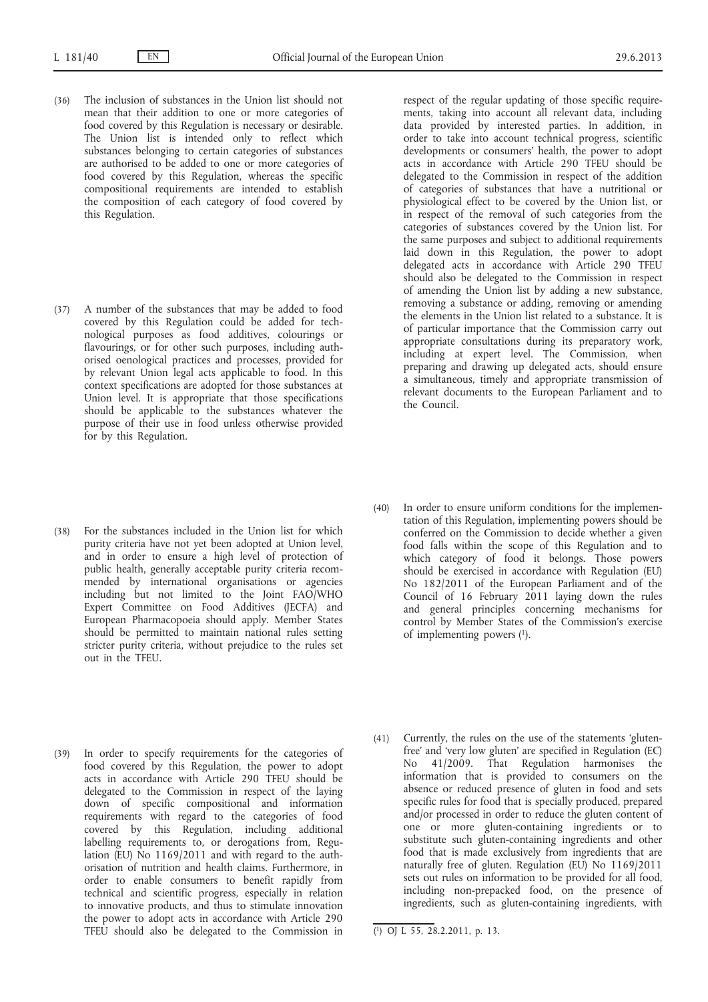- (36) The inclusion of substances in the Union list should not mean that their addition to one or more categories of food covered by this Regulation is necessary or desirable. The Union list is intended only to reflect which substances belonging to certain categories of substances are authorised to be added to one or more categories of food covered by this Regulation, whereas the specific compositional requirements are intended to establish the composition of each category of food covered by this Regulation.
- (37) A number of the substances that may be added to food covered by this Regulation could be added for technological purposes as food additives, colourings or flavourings, or for other such purposes, including authorised oenological practices and processes, provided for by relevant Union legal acts applicable to food. In this context specifications are adopted for those substances at Union level. It is appropriate that those specifications should be applicable to the substances whatever the purpose of their use in food unless otherwise provided for by this Regulation.
- (38) For the substances included in the Union list for which purity criteria have not yet been adopted at Union level, and in order to ensure a high level of protection of public health, generally acceptable purity criteria recommended by international organisations or agencies including but not limited to the Joint FAO/WHO Expert Committee on Food Additives (JECFA) and European Pharmacopoeia should apply. Member States should be permitted to maintain national rules setting stricter purity criteria, without prejudice to the rules set out in the TFEU.
- (39) In order to specify requirements for the categories of food covered by this Regulation, the power to adopt acts in accordance with Article 290 TFEU should be delegated to the Commission in respect of the laying down of specific compositional and information requirements with regard to the categories of food covered by this Regulation, including additional labelling requirements to, or derogations from, Regulation (EU) No 1169/2011 and with regard to the authorisation of nutrition and health claims. Furthermore, in order to enable consumers to benefit rapidly from technical and scientific progress, especially in relation to innovative products, and thus to stimulate innovation the power to adopt acts in accordance with Article 290 TFEU should also be delegated to the Commission in

respect of the regular updating of those specific requirements, taking into account all relevant data, including data provided by interested parties. In addition, in order to take into account technical progress, scientific developments or consumers' health, the power to adopt acts in accordance with Article 290 TFEU should be delegated to the Commission in respect of the addition of categories of substances that have a nutritional or physiological effect to be covered by the Union list, or in respect of the removal of such categories from the categories of substances covered by the Union list. For the same purposes and subject to additional requirements laid down in this Regulation, the power to adopt delegated acts in accordance with Article 290 TFEU should also be delegated to the Commission in respect of amending the Union list by adding a new substance, removing a substance or adding, removing or amending the elements in the Union list related to a substance. It is of particular importance that the Commission carry out appropriate consultations during its preparatory work, including at expert level. The Commission, when preparing and drawing up delegated acts, should ensure a simultaneous, timely and appropriate transmission of relevant documents to the European Parliament and to the Council.

- (40) In order to ensure uniform conditions for the implementation of this Regulation, implementing powers should be conferred on the Commission to decide whether a given food falls within the scope of this Regulation and to which category of food it belongs. Those powers should be exercised in accordance with Regulation (EU) No 182/2011 of the European Parliament and of the Council of 16 February 2011 laying down the rules and general principles concerning mechanisms for control by Member States of the Commission's exercise of implementing powers (1).
- (41) Currently, the rules on the use of the statements 'glutenfree' and 'very low gluten' are specified in Regulation (EC) No 41/2009. That Regulation harmonises the information that is provided to consumers on the absence or reduced presence of gluten in food and sets specific rules for food that is specially produced, prepared and/or processed in order to reduce the gluten content of one or more gluten-containing ingredients or to substitute such gluten-containing ingredients and other food that is made exclusively from ingredients that are naturally free of gluten. Regulation (EU) No 1169/2011 sets out rules on information to be provided for all food, including non-prepacked food, on the presence of ingredients, such as gluten-containing ingredients, with

<sup>(</sup> 1) OJ L 55, 28.2.2011, p. 13.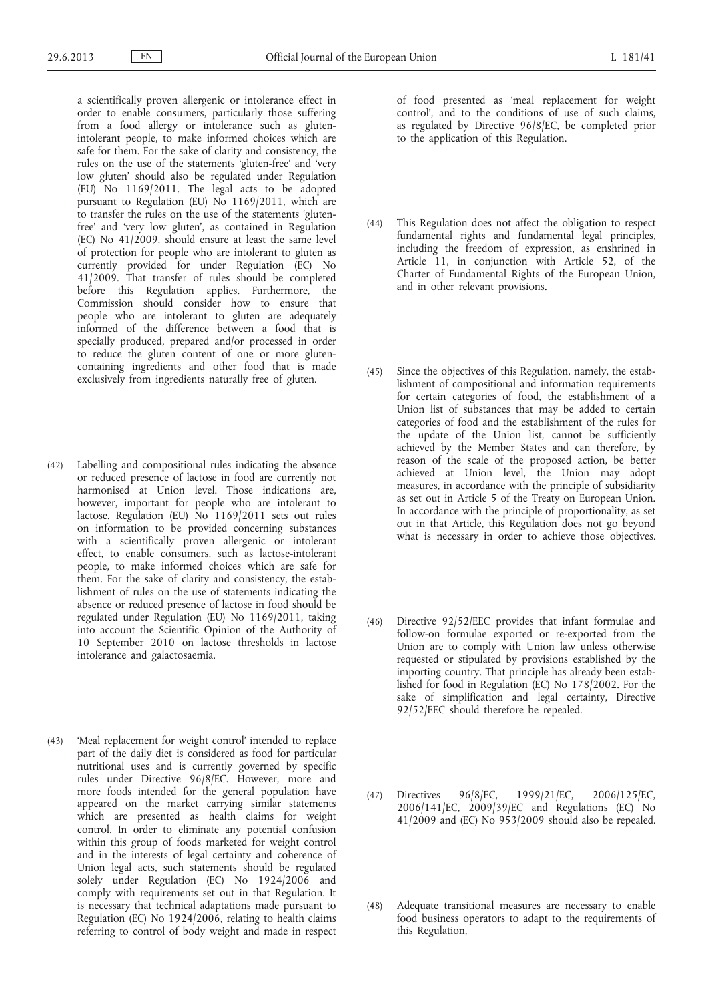a scientifically proven allergenic or intolerance effect in order to enable consumers, particularly those suffering from a food allergy or intolerance such as glutenintolerant people, to make informed choices which are safe for them. For the sake of clarity and consistency, the rules on the use of the statements 'gluten-free' and 'very low gluten' should also be regulated under Regulation (EU) No 1169/2011. The legal acts to be adopted pursuant to Regulation (EU) No 1169/2011, which are to transfer the rules on the use of the statements 'glutenfree' and 'very low gluten', as contained in Regulation (EC) No 41/2009, should ensure at least the same level of protection for people who are intolerant to gluten as currently provided for under Regulation (EC) No 41/2009. That transfer of rules should be completed before this Regulation applies. Furthermore, the Commission should consider how to ensure that people who are intolerant to gluten are adequately informed of the difference between a food that is specially produced, prepared and/or processed in order to reduce the gluten content of one or more glutencontaining ingredients and other food that is made exclusively from ingredients naturally free of gluten.

- (42) Labelling and compositional rules indicating the absence or reduced presence of lactose in food are currently not harmonised at Union level. Those indications are, however, important for people who are intolerant to lactose. Regulation (EU) No 1169/2011 sets out rules on information to be provided concerning substances with a scientifically proven allergenic or intolerant effect, to enable consumers, such as lactose-intolerant people, to make informed choices which are safe for them. For the sake of clarity and consistency, the establishment of rules on the use of statements indicating the absence or reduced presence of lactose in food should be regulated under Regulation (EU) No 1169/2011, taking into account the Scientific Opinion of the Authority of 10 September 2010 on lactose thresholds in lactose intolerance and galactosaemia.
- (43) 'Meal replacement for weight control' intended to replace part of the daily diet is considered as food for particular nutritional uses and is currently governed by specific rules under Directive 96/8/EC. However, more and more foods intended for the general population have appeared on the market carrying similar statements which are presented as health claims for weight control. In order to eliminate any potential confusion within this group of foods marketed for weight control and in the interests of legal certainty and coherence of Union legal acts, such statements should be regulated solely under Regulation (EC) No 1924/2006 and comply with requirements set out in that Regulation. It is necessary that technical adaptations made pursuant to Regulation (EC) No 1924/2006, relating to health claims referring to control of body weight and made in respect

of food presented as 'meal replacement for weight control', and to the conditions of use of such claims, as regulated by Directive 96/8/EC, be completed prior to the application of this Regulation.

- (44) This Regulation does not affect the obligation to respect fundamental rights and fundamental legal principles, including the freedom of expression, as enshrined in Article 11, in conjunction with Article 52, of the Charter of Fundamental Rights of the European Union, and in other relevant provisions.
- (45) Since the objectives of this Regulation, namely, the establishment of compositional and information requirements for certain categories of food, the establishment of a Union list of substances that may be added to certain categories of food and the establishment of the rules for the update of the Union list, cannot be sufficiently achieved by the Member States and can therefore, by reason of the scale of the proposed action, be better achieved at Union level, the Union may adopt measures, in accordance with the principle of subsidiarity as set out in Article 5 of the Treaty on European Union. In accordance with the principle of proportionality, as set out in that Article, this Regulation does not go beyond what is necessary in order to achieve those objectives.
- (46) Directive 92/52/EEC provides that infant formulae and follow-on formulae exported or re-exported from the Union are to comply with Union law unless otherwise requested or stipulated by provisions established by the importing country. That principle has already been established for food in Regulation (EC) No 178/2002. For the sake of simplification and legal certainty, Directive 92/52/EEC should therefore be repealed.
- (47) Directives 96/8/EC, 1999/21/EC, 2006/125/EC, 2006/141/EC, 2009/39/EC and Regulations (EC) No 41/2009 and (EC) No 953/2009 should also be repealed.
- (48) Adequate transitional measures are necessary to enable food business operators to adapt to the requirements of this Regulation,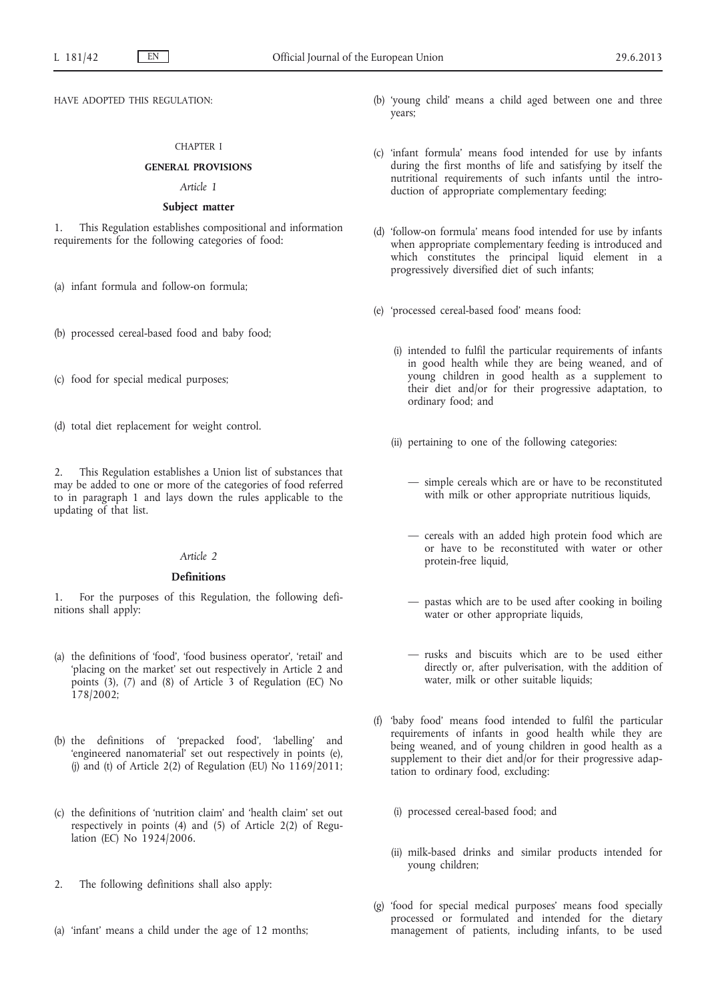HAVE ADOPTED THIS REGULATION:

### CHAPTER I

### **GENERAL PROVISIONS**

### *Article 1*

### **Subject matter**

1. This Regulation establishes compositional and information requirements for the following categories of food:

(a) infant formula and follow-on formula;

- (b) processed cereal-based food and baby food;
- (c) food for special medical purposes;
- (d) total diet replacement for weight control.

2. This Regulation establishes a Union list of substances that may be added to one or more of the categories of food referred to in paragraph 1 and lays down the rules applicable to the updating of that list.

### *Article 2*

### **Definitions**

1. For the purposes of this Regulation, the following definitions shall apply:

- (a) the definitions of 'food', 'food business operator', 'retail' and 'placing on the market' set out respectively in Article 2 and points (3), (7) and (8) of Article 3 of Regulation (EC) No 178/2002;
- (b) the definitions of 'prepacked food', 'labelling' and 'engineered nanomaterial' set out respectively in points (e), (j) and (t) of Article 2(2) of Regulation (EU) No  $1169/2011$ ;
- (c) the definitions of 'nutrition claim' and 'health claim' set out respectively in points (4) and (5) of Article 2(2) of Regulation (EC) No 1924/2006.
- 2. The following definitions shall also apply:
- (a) 'infant' means a child under the age of 12 months;
- (b) 'young child' means a child aged between one and three years;
- (c) 'infant formula' means food intended for use by infants during the first months of life and satisfying by itself the nutritional requirements of such infants until the introduction of appropriate complementary feeding;
- (d) 'follow-on formula' means food intended for use by infants when appropriate complementary feeding is introduced and which constitutes the principal liquid element in a progressively diversified diet of such infants;
- (e) 'processed cereal-based food' means food:
	- (i) intended to fulfil the particular requirements of infants in good health while they are being weaned, and of young children in good health as a supplement to their diet and/or for their progressive adaptation, to ordinary food; and
	- (ii) pertaining to one of the following categories:
		- simple cereals which are or have to be reconstituted with milk or other appropriate nutritious liquids,
		- cereals with an added high protein food which are or have to be reconstituted with water or other protein-free liquid,
		- pastas which are to be used after cooking in boiling water or other appropriate liquids,
		- rusks and biscuits which are to be used either directly or, after pulverisation, with the addition of water, milk or other suitable liquids;
- (f) 'baby food' means food intended to fulfil the particular requirements of infants in good health while they are being weaned, and of young children in good health as a supplement to their diet and/or for their progressive adaptation to ordinary food, excluding:
	- (i) processed cereal-based food; and
	- (ii) milk-based drinks and similar products intended for young children;
- (g) 'food for special medical purposes' means food specially processed or formulated and intended for the dietary management of patients, including infants, to be used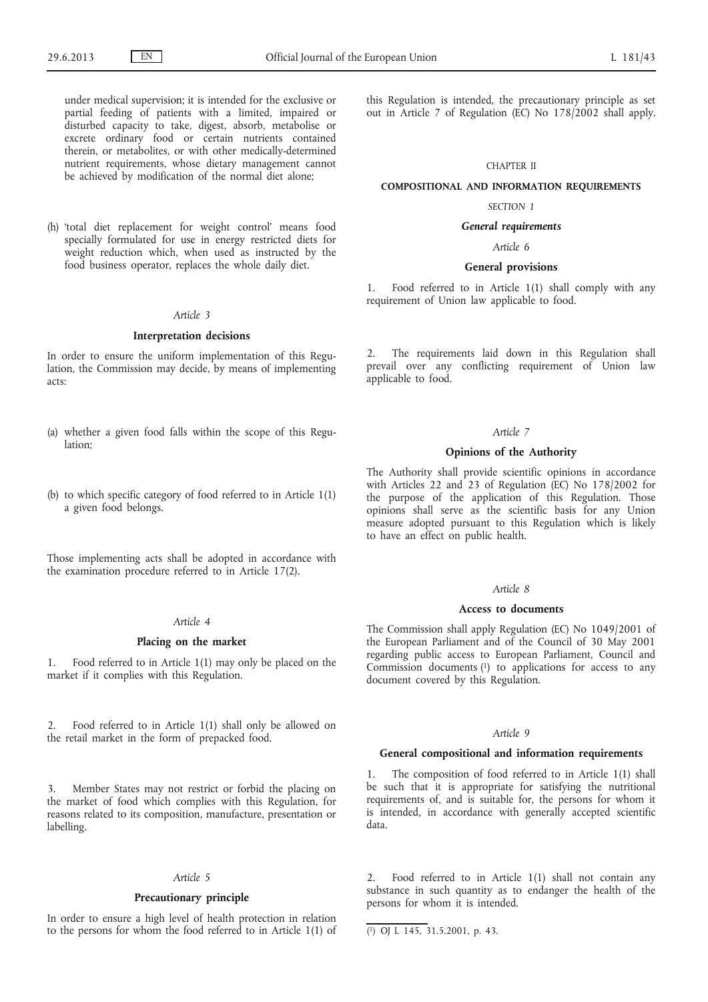under medical supervision; it is intended for the exclusive or partial feeding of patients with a limited, impaired or disturbed capacity to take, digest, absorb, metabolise or excrete ordinary food or certain nutrients contained therein, or metabolites, or with other medically-determined nutrient requirements, whose dietary management cannot be achieved by modification of the normal diet alone;

(h) 'total diet replacement for weight control' means food specially formulated for use in energy restricted diets for weight reduction which, when used as instructed by the food business operator, replaces the whole daily diet.

### *Article 3*

### **Interpretation decisions**

In order to ensure the uniform implementation of this Regulation, the Commission may decide, by means of implementing acts:

- (a) whether a given food falls within the scope of this Regulation;
- (b) to which specific category of food referred to in Article 1(1) a given food belongs.

Those implementing acts shall be adopted in accordance with the examination procedure referred to in Article 17(2).

### *Article 4*

#### **Placing on the market**

1. Food referred to in Article 1(1) may only be placed on the market if it complies with this Regulation.

2. Food referred to in Article 1(1) shall only be allowed on the retail market in the form of prepacked food.

3. Member States may not restrict or forbid the placing on the market of food which complies with this Regulation, for reasons related to its composition, manufacture, presentation or labelling.

#### *Article 5*

#### **Precautionary principle**

In order to ensure a high level of health protection in relation to the persons for whom the food referred to in Article 1(1) of this Regulation is intended, the precautionary principle as set out in Article 7 of Regulation (EC) No 178/2002 shall apply.

#### CHAPTER II

#### **COMPOSITIONAL AND INFORMATION REQUIREMENTS**

#### *SECTION 1*

### *General requirements*

*Article 6*

#### **General provisions**

1. Food referred to in Article 1(1) shall comply with any requirement of Union law applicable to food.

2. The requirements laid down in this Regulation shall prevail over any conflicting requirement of Union law applicable to food.

### *Article 7*

### **Opinions of the Authority**

The Authority shall provide scientific opinions in accordance with Articles 22 and 23 of Regulation (EC) No 178/2002 for the purpose of the application of this Regulation. Those opinions shall serve as the scientific basis for any Union measure adopted pursuant to this Regulation which is likely to have an effect on public health.

#### *Article 8*

### **Access to documents**

The Commission shall apply Regulation (EC) No 1049/2001 of the European Parliament and of the Council of 30 May 2001 regarding public access to European Parliament, Council and Commission documents  $(1)$  to applications for access to any document covered by this Regulation.

### *Article 9*

#### **General compositional and information requirements**

1. The composition of food referred to in Article 1(1) shall be such that it is appropriate for satisfying the nutritional requirements of, and is suitable for, the persons for whom it is intended, in accordance with generally accepted scientific data.

Food referred to in Article 1(1) shall not contain any substance in such quantity as to endanger the health of the persons for whom it is intended.

<sup>(</sup> 1) OJ L 145, 31.5.2001, p. 43.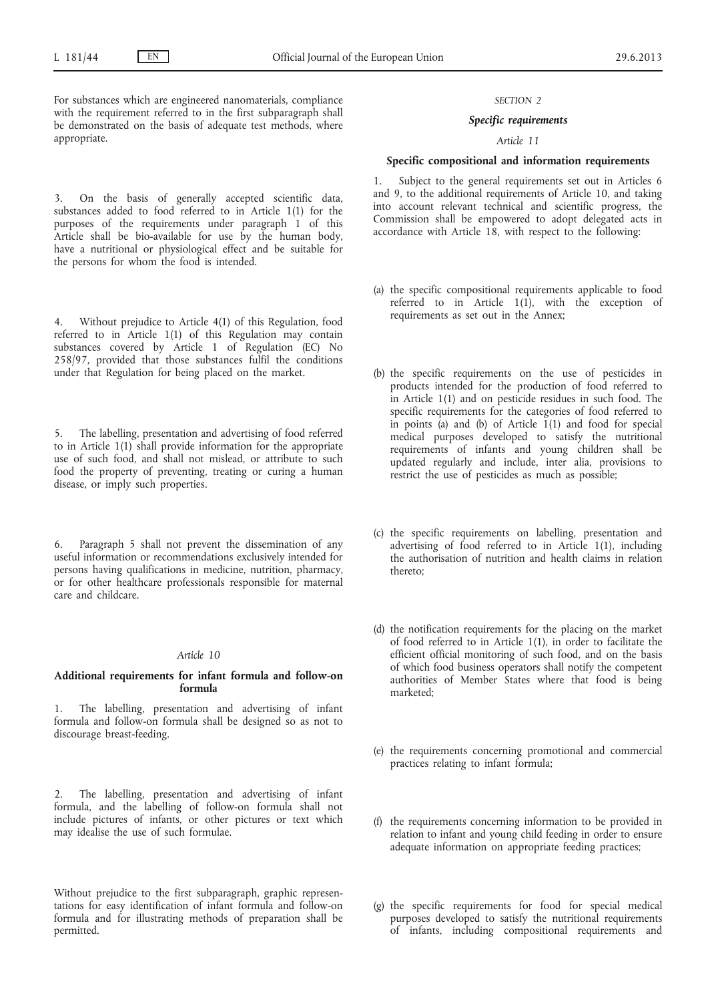For substances which are engineered nanomaterials, compliance with the requirement referred to in the first subparagraph shall be demonstrated on the basis of adequate test methods, where appropriate.

3. On the basis of generally accepted scientific data, substances added to food referred to in Article 1(1) for the purposes of the requirements under paragraph 1 of this Article shall be bio-available for use by the human body, have a nutritional or physiological effect and be suitable for the persons for whom the food is intended.

4. Without prejudice to Article 4(1) of this Regulation, food referred to in Article 1(1) of this Regulation may contain substances covered by Article 1 of Regulation (EC) No 258/97, provided that those substances fulfil the conditions under that Regulation for being placed on the market.

The labelling, presentation and advertising of food referred to in Article 1(1) shall provide information for the appropriate use of such food, and shall not mislead, or attribute to such food the property of preventing, treating or curing a human disease, or imply such properties.

6. Paragraph 5 shall not prevent the dissemination of any useful information or recommendations exclusively intended for persons having qualifications in medicine, nutrition, pharmacy, or for other healthcare professionals responsible for maternal care and childcare.

#### *Article 10*

### **Additional requirements for infant formula and follow-on formula**

1. The labelling, presentation and advertising of infant formula and follow-on formula shall be designed so as not to discourage breast-feeding.

2. The labelling, presentation and advertising of infant formula, and the labelling of follow-on formula shall not include pictures of infants, or other pictures or text which may idealise the use of such formulae.

Without prejudice to the first subparagraph, graphic representations for easy identification of infant formula and follow-on formula and for illustrating methods of preparation shall be permitted.

#### *SECTION 2*

### *Specific requirements*

### *Article 11*

#### **Specific compositional and information requirements**

1. Subject to the general requirements set out in Articles 6 and 9, to the additional requirements of Article 10, and taking into account relevant technical and scientific progress, the Commission shall be empowered to adopt delegated acts in accordance with Article 18, with respect to the following:

- (a) the specific compositional requirements applicable to food referred to in Article 1(1), with the exception of requirements as set out in the Annex;
- (b) the specific requirements on the use of pesticides in products intended for the production of food referred to in Article 1(1) and on pesticide residues in such food. The specific requirements for the categories of food referred to in points (a) and (b) of Article  $1(1)$  and food for special medical purposes developed to satisfy the nutritional requirements of infants and young children shall be updated regularly and include, inter alia, provisions to restrict the use of pesticides as much as possible;
- (c) the specific requirements on labelling, presentation and advertising of food referred to in Article 1(1), including the authorisation of nutrition and health claims in relation thereto;
- (d) the notification requirements for the placing on the market of food referred to in Article 1(1), in order to facilitate the efficient official monitoring of such food, and on the basis of which food business operators shall notify the competent authorities of Member States where that food is being marketed;
- (e) the requirements concerning promotional and commercial practices relating to infant formula;
- (f) the requirements concerning information to be provided in relation to infant and young child feeding in order to ensure adequate information on appropriate feeding practices;
- (g) the specific requirements for food for special medical purposes developed to satisfy the nutritional requirements of infants, including compositional requirements and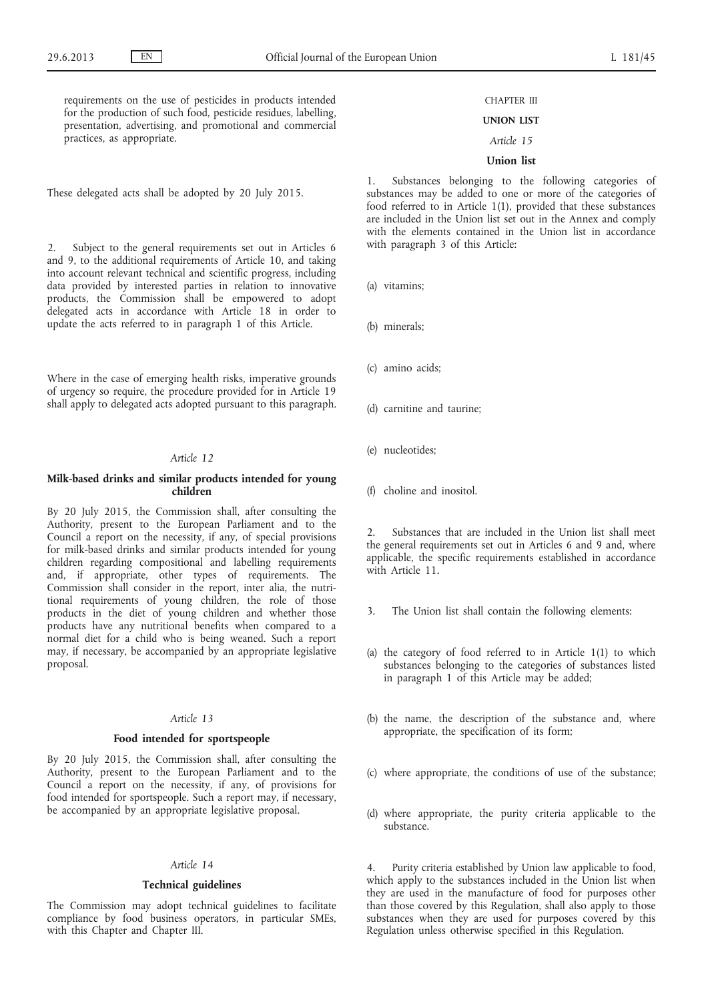requirements on the use of pesticides in products intended for the production of such food, pesticide residues, labelling, presentation, advertising, and promotional and commercial practices, as appropriate.

These delegated acts shall be adopted by 20 July 2015.

2. Subject to the general requirements set out in Articles 6 and 9, to the additional requirements of Article 10, and taking into account relevant technical and scientific progress, including data provided by interested parties in relation to innovative products, the Commission shall be empowered to adopt delegated acts in accordance with Article 18 in order to update the acts referred to in paragraph 1 of this Article.

Where in the case of emerging health risks, imperative grounds of urgency so require, the procedure provided for in Article 19 shall apply to delegated acts adopted pursuant to this paragraph.

### *Article 12*

### **Milk-based drinks and similar products intended for young children**

By 20 July 2015, the Commission shall, after consulting the Authority, present to the European Parliament and to the Council a report on the necessity, if any, of special provisions for milk-based drinks and similar products intended for young children regarding compositional and labelling requirements and, if appropriate, other types of requirements. The Commission shall consider in the report, inter alia, the nutritional requirements of young children, the role of those products in the diet of young children and whether those products have any nutritional benefits when compared to a normal diet for a child who is being weaned. Such a report may, if necessary, be accompanied by an appropriate legislative proposal.

#### *Article 13*

### **Food intended for sportspeople**

By 20 July 2015, the Commission shall, after consulting the Authority, present to the European Parliament and to the Council a report on the necessity, if any, of provisions for food intended for sportspeople. Such a report may, if necessary, be accompanied by an appropriate legislative proposal.

#### *Article 14*

### **Technical guidelines**

The Commission may adopt technical guidelines to facilitate compliance by food business operators, in particular SMEs, with this Chapter and Chapter III.

# CHAPTER III

### **UNION LIST**

### *Article 15*

### **Union list**

1. Substances belonging to the following categories of substances may be added to one or more of the categories of food referred to in Article 1(1), provided that these substances are included in the Union list set out in the Annex and comply with the elements contained in the Union list in accordance with paragraph 3 of this Article:

(a) vitamins;

- (b) minerals;
- (c) amino acids;
- (d) carnitine and taurine;
- (e) nucleotides;
- (f) choline and inositol.

Substances that are included in the Union list shall meet the general requirements set out in Articles 6 and 9 and, where applicable, the specific requirements established in accordance with Article 11.

- 3. The Union list shall contain the following elements:
- (a) the category of food referred to in Article 1(1) to which substances belonging to the categories of substances listed in paragraph 1 of this Article may be added;
- (b) the name, the description of the substance and, where appropriate, the specification of its form;
- (c) where appropriate, the conditions of use of the substance;
- (d) where appropriate, the purity criteria applicable to the substance.

Purity criteria established by Union law applicable to food, which apply to the substances included in the Union list when they are used in the manufacture of food for purposes other than those covered by this Regulation, shall also apply to those substances when they are used for purposes covered by this Regulation unless otherwise specified in this Regulation.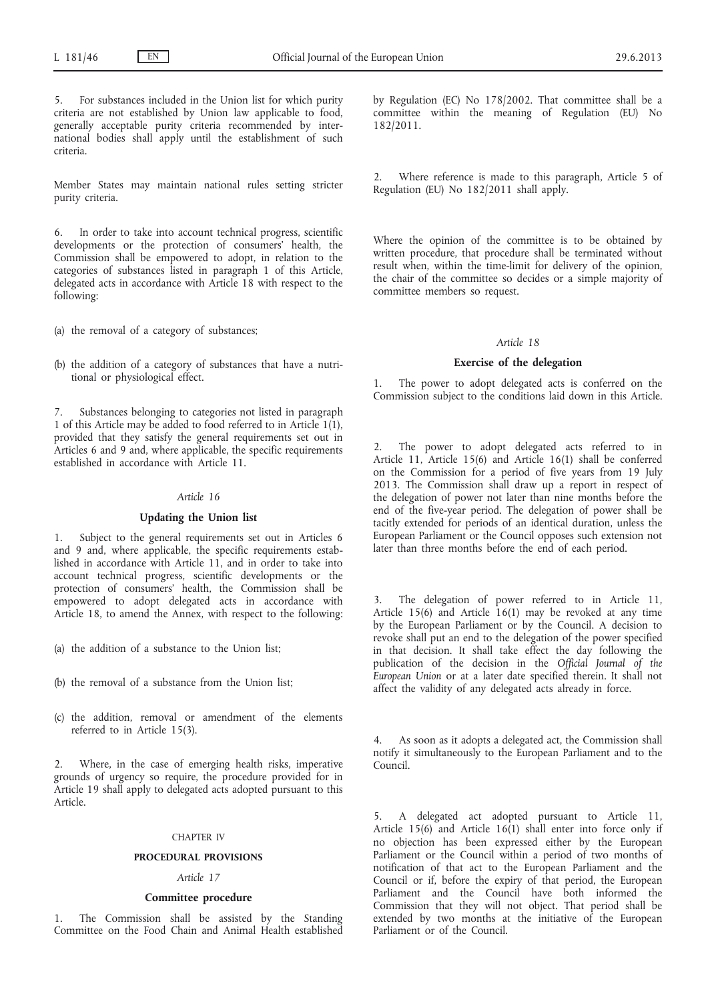5. For substances included in the Union list for which purity criteria are not established by Union law applicable to food, generally acceptable purity criteria recommended by international bodies shall apply until the establishment of such criteria.

Member States may maintain national rules setting stricter purity criteria.

6. In order to take into account technical progress, scientific developments or the protection of consumers' health, the Commission shall be empowered to adopt, in relation to the categories of substances listed in paragraph 1 of this Article, delegated acts in accordance with Article 18 with respect to the following:

(a) the removal of a category of substances;

(b) the addition of a category of substances that have a nutritional or physiological effect.

7. Substances belonging to categories not listed in paragraph 1 of this Article may be added to food referred to in Article  $1(1)$ , provided that they satisfy the general requirements set out in Articles 6 and 9 and, where applicable, the specific requirements established in accordance with Article 11.

#### *Article 16*

### **Updating the Union list**

1. Subject to the general requirements set out in Articles 6 and 9 and, where applicable, the specific requirements established in accordance with Article 11, and in order to take into account technical progress, scientific developments or the protection of consumers' health, the Commission shall be empowered to adopt delegated acts in accordance with Article 18, to amend the Annex, with respect to the following:

- (a) the addition of a substance to the Union list;
- (b) the removal of a substance from the Union list;
- (c) the addition, removal or amendment of the elements referred to in Article 15(3).

2. Where, in the case of emerging health risks, imperative grounds of urgency so require, the procedure provided for in Article 19 shall apply to delegated acts adopted pursuant to this Article.

#### CHAPTER IV

#### **PROCEDURAL PROVISIONS**

#### *Article 17*

#### **Committee procedure**

The Commission shall be assisted by the Standing Committee on the Food Chain and Animal Health established by Regulation (EC) No 178/2002. That committee shall be a committee within the meaning of Regulation (EU) No 182/2011.

2. Where reference is made to this paragraph, Article 5 of Regulation (EU) No 182/2011 shall apply.

Where the opinion of the committee is to be obtained by written procedure, that procedure shall be terminated without result when, within the time-limit for delivery of the opinion, the chair of the committee so decides or a simple majority of committee members so request.

#### *Article 18*

#### **Exercise of the delegation**

The power to adopt delegated acts is conferred on the Commission subject to the conditions laid down in this Article.

The power to adopt delegated acts referred to in Article 11, Article 15(6) and Article 16(1) shall be conferred on the Commission for a period of five years from 19 July 2013. The Commission shall draw up a report in respect of the delegation of power not later than nine months before the end of the five-year period. The delegation of power shall be tacitly extended for periods of an identical duration, unless the European Parliament or the Council opposes such extension not later than three months before the end of each period.

3. The delegation of power referred to in Article 11, Article 15(6) and Article 16(1) may be revoked at any time by the European Parliament or by the Council. A decision to revoke shall put an end to the delegation of the power specified in that decision. It shall take effect the day following the publication of the decision in the *Official Journal of the European Union* or at a later date specified therein. It shall not affect the validity of any delegated acts already in force.

As soon as it adopts a delegated act, the Commission shall notify it simultaneously to the European Parliament and to the Council.

5. A delegated act adopted pursuant to Article 11, Article 15(6) and Article 16(1) shall enter into force only if no objection has been expressed either by the European Parliament or the Council within a period of two months of notification of that act to the European Parliament and the Council or if, before the expiry of that period, the European Parliament and the Council have both informed the Commission that they will not object. That period shall be extended by two months at the initiative of the European Parliament or of the Council.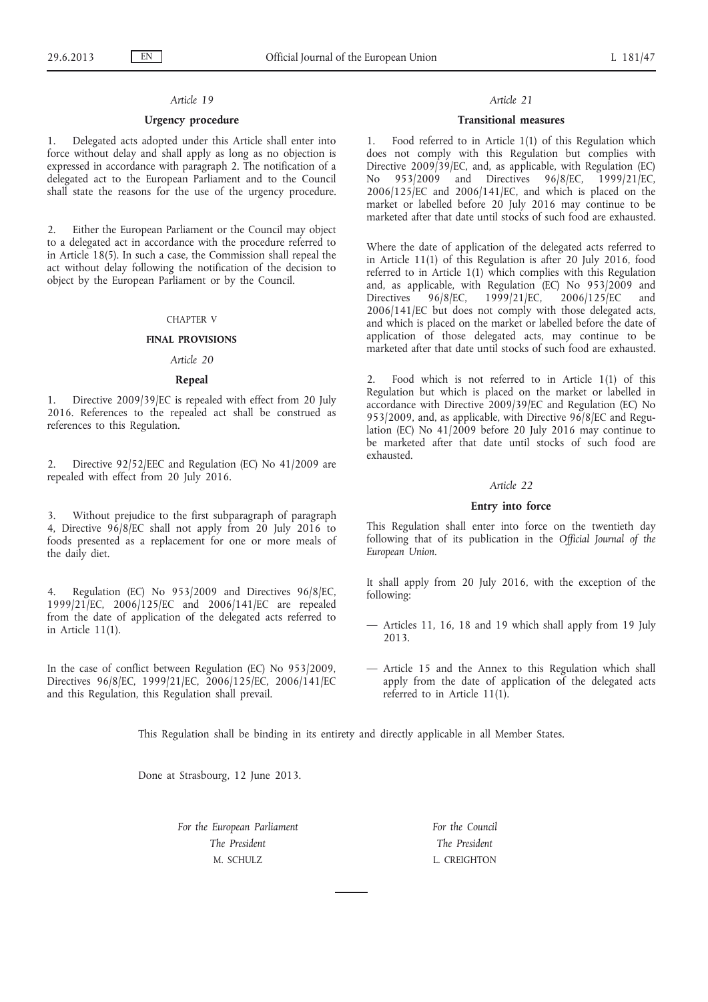#### *Article 19*

### **Urgency procedure**

1. Delegated acts adopted under this Article shall enter into force without delay and shall apply as long as no objection is expressed in accordance with paragraph 2. The notification of a delegated act to the European Parliament and to the Council shall state the reasons for the use of the urgency procedure.

2. Either the European Parliament or the Council may object to a delegated act in accordance with the procedure referred to in Article 18(5). In such a case, the Commission shall repeal the act without delay following the notification of the decision to object by the European Parliament or by the Council.

### CHAPTER V

#### **FINAL PROVISIONS**

### *Article 20*

#### **Repeal**

1. Directive 2009/39/EC is repealed with effect from 20 July 2016. References to the repealed act shall be construed as references to this Regulation.

2. Directive 92/52/EEC and Regulation (EC) No 41/2009 are repealed with effect from 20 July 2016.

3. Without prejudice to the first subparagraph of paragraph 4, Directive  $96/8/EC$  shall not apply from 20 July 2016 to foods presented as a replacement for one or more meals of the daily diet.

Regulation (EC) No 953/2009 and Directives 96/8/EC, 1999/21/EC, 2006/125/EC and 2006/141/EC are repealed from the date of application of the delegated acts referred to in Article 11(1).

In the case of conflict between Regulation (EC) No 953/2009, Directives 96/8/EC, 1999/21/EC, 2006/125/EC, 2006/141/EC and this Regulation, this Regulation shall prevail.

#### *Article 21*

### **Transitional measures**

1. Food referred to in Article 1(1) of this Regulation which does not comply with this Regulation but complies with Directive 2009/39/EC, and, as applicable, with Regulation (EC) No 953/2009 and Directives 96/8/EC, 1999/21/EC, 2006/125/EC and 2006/141/EC, and which is placed on the market or labelled before 20 July 2016 may continue to be marketed after that date until stocks of such food are exhausted.

Where the date of application of the delegated acts referred to in Article 11(1) of this Regulation is after 20 July 2016, food referred to in Article 1(1) which complies with this Regulation and, as applicable, with Regulation (EC) No  $953/2009$  and Directives  $96/8$ /EC,  $1999/21$ /EC,  $2006/125$ /EC and Directives 96/8/EC, 1999/21/EC, 2006/125/EC and 2006/141/EC but does not comply with those delegated acts, and which is placed on the market or labelled before the date of application of those delegated acts, may continue to be marketed after that date until stocks of such food are exhausted.

Food which is not referred to in Article  $1(1)$  of this Regulation but which is placed on the market or labelled in accordance with Directive 2009/39/EC and Regulation (EC) No 953/2009, and, as applicable, with Directive 96/8/EC and Regulation (EC) No 41/2009 before 20 July 2016 may continue to be marketed after that date until stocks of such food are exhausted.

#### *Article 22*

### **Entry into force**

This Regulation shall enter into force on the twentieth day following that of its publication in the *Official Journal of the European Union*.

It shall apply from 20 July 2016, with the exception of the following:

- Articles 11, 16, 18 and 19 which shall apply from 19 July 2013.
- Article 15 and the Annex to this Regulation which shall apply from the date of application of the delegated acts referred to in Article 11(1).

This Regulation shall be binding in its entirety and directly applicable in all Member States.

Done at Strasbourg, 12 June 2013.

*For the European Parliament The President* M. SCHULZ

*For the Council The President* L. CREIGHTON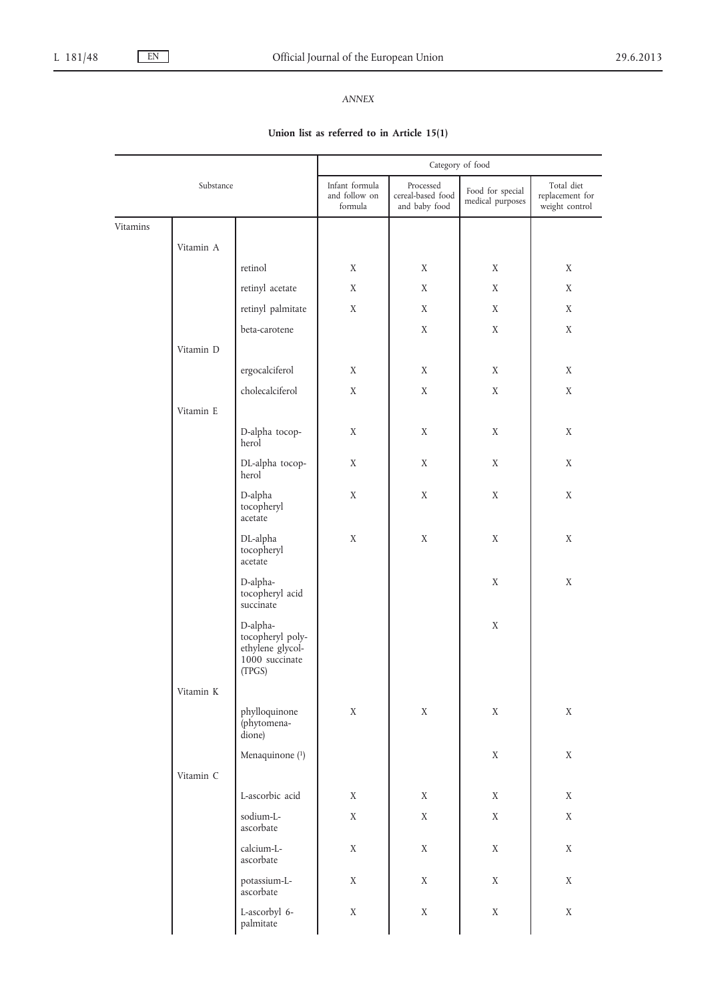# *ANNEX*

# **Union list as referred to in Article 15(1)**

|           |           |                                                                              | Category of food                           |                                                 |                                      |                                                 |
|-----------|-----------|------------------------------------------------------------------------------|--------------------------------------------|-------------------------------------------------|--------------------------------------|-------------------------------------------------|
| Substance |           |                                                                              | Infant formula<br>and follow on<br>formula | Processed<br>cereal-based food<br>and baby food | Food for special<br>medical purposes | Total diet<br>replacement for<br>weight control |
| Vitamins  |           |                                                                              |                                            |                                                 |                                      |                                                 |
|           | Vitamin A |                                                                              |                                            |                                                 |                                      |                                                 |
|           |           | retinol                                                                      | X                                          | X                                               | X                                    | X                                               |
|           |           | retinyl acetate                                                              | X                                          | X                                               | X                                    | X                                               |
|           |           | retinyl palmitate                                                            | X                                          | $\mathbf X$                                     | X                                    | X                                               |
|           |           | beta-carotene                                                                |                                            | $\mathbf X$                                     | X                                    | X                                               |
|           | Vitamin D |                                                                              |                                            |                                                 |                                      |                                                 |
|           |           | ergocalciferol                                                               | X                                          | X                                               | X                                    | X                                               |
|           |           | cholecalciferol                                                              | X                                          | X                                               | $\mathbf X$                          | X                                               |
|           | Vitamin E |                                                                              |                                            |                                                 |                                      |                                                 |
|           |           | D-alpha tocop-<br>herol                                                      | X                                          | X                                               | X                                    | X                                               |
|           |           | DL-alpha tocop-<br>herol                                                     | X                                          | X                                               | X                                    | X                                               |
|           |           | D-alpha<br>tocopheryl<br>acetate                                             | X                                          | $\mathbf X$                                     | X                                    | $\mathbf X$                                     |
|           |           | DL-alpha<br>tocopheryl<br>acetate                                            | X                                          | $\mathbf X$                                     | X                                    | X                                               |
|           |           | D-alpha-<br>tocopheryl acid<br>succinate                                     |                                            |                                                 | X                                    | X                                               |
|           |           | D-alpha-<br>tocopheryl poly-<br>ethylene glycol-<br>1000 succinate<br>(TPGS) |                                            |                                                 | X                                    |                                                 |
|           | Vitamin K |                                                                              |                                            |                                                 |                                      |                                                 |
|           |           | phylloquinone<br>(phytomena-<br>dione)                                       | $\mathbf X$                                | $\mathbf X$                                     | $\mathbf X$                          | $\mathbf X$                                     |
|           |           | Menaquinone $(1)$                                                            |                                            |                                                 | $\mathbf X$                          | $\mathbf X$                                     |
|           | Vitamin C |                                                                              |                                            |                                                 |                                      |                                                 |
|           |           | L-ascorbic acid                                                              | X                                          | $\mathbf X$                                     | $\mathbf X$                          | $\mathbf X$                                     |
|           |           | sodium-L-<br>ascorbate                                                       | $\mathbf X$                                | $\mathbf X$                                     | $\mathbf X$                          | $\mathbf X$                                     |
|           |           | calcium-L-<br>ascorbate                                                      | $\mathbf X$                                | $\mathbf X$                                     | $\mathbf X$                          | $\mathbf X$                                     |
|           |           | potassium-L-<br>ascorbate                                                    | X                                          | $\mathbf X$                                     | X                                    | $\mathbf X$                                     |
|           |           | L-ascorbyl 6-<br>palmitate                                                   | $\mathbf X$                                | $\mathbf X$                                     | $\mathbf X$                          | $\mathbf X$                                     |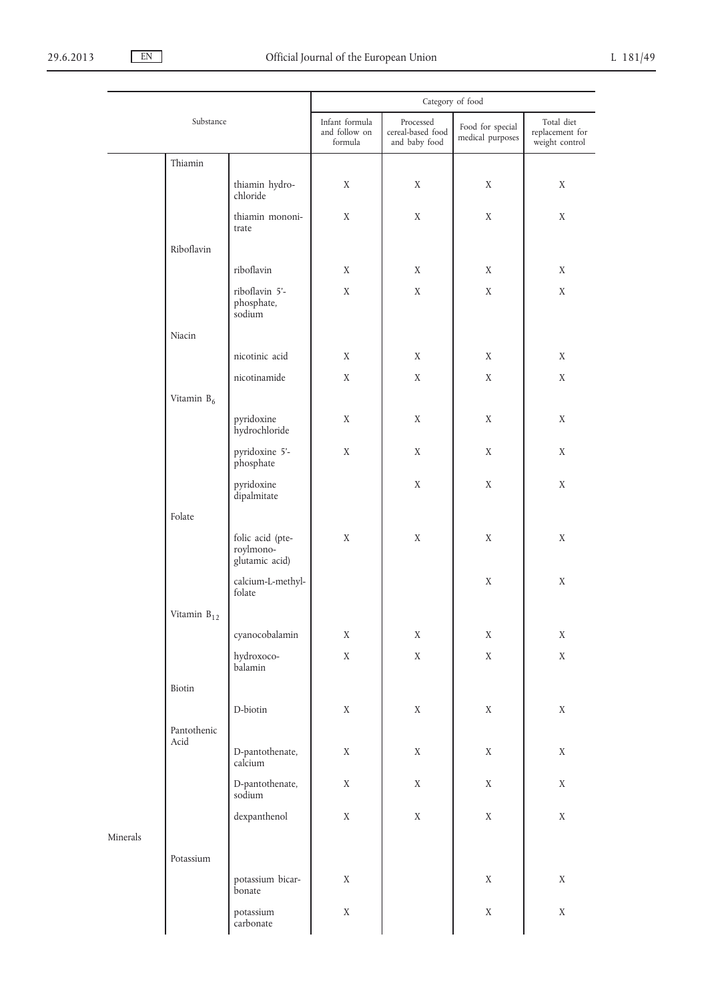|          |                        | Category of food                                |                            |                                                 |                                      |                                                 |
|----------|------------------------|-------------------------------------------------|----------------------------|-------------------------------------------------|--------------------------------------|-------------------------------------------------|
|          | Substance              |                                                 |                            | Processed<br>cereal-based food<br>and baby food | Food for special<br>medical purposes | Total diet<br>replacement for<br>weight control |
|          | Thiamin                |                                                 |                            |                                                 |                                      |                                                 |
|          |                        | thiamin hydro-<br>chloride                      | X                          | X                                               | X                                    | X                                               |
|          |                        | thiamin mononi-<br>trate                        | X                          | X                                               | X                                    | X                                               |
|          | Riboflavin             |                                                 |                            |                                                 |                                      |                                                 |
|          |                        | riboflavin                                      | X                          | X                                               | X                                    | X                                               |
|          |                        | riboflavin 5'-<br>phosphate,<br>sodium          | $\mathbf X$                | $\mathbf X$                                     | $\mathbf X$                          | $\mathbf X$                                     |
|          | Niacin                 |                                                 |                            |                                                 |                                      |                                                 |
|          |                        | nicotinic acid                                  | X                          | X                                               | X                                    | X                                               |
|          |                        | nicotinamide                                    | X                          | $\mathbf X$                                     | X                                    | $\mathbf X$                                     |
|          | Vitamin B <sub>6</sub> |                                                 |                            |                                                 |                                      |                                                 |
|          |                        | pyridoxine<br>hydrochloride                     | X                          | X                                               | $\mathbf X$                          | X                                               |
|          |                        | pyridoxine 5'-<br>phosphate                     | X                          | $\mathbf X$                                     | X                                    | $\mathbf X$                                     |
|          |                        | pyridoxine<br>dipalmitate                       |                            | X                                               | X                                    | X                                               |
|          | Folate                 |                                                 |                            |                                                 |                                      |                                                 |
|          |                        | folic acid (pte-<br>roylmono-<br>glutamic acid) | X                          | X                                               | X                                    | X                                               |
|          |                        | calcium-L-methyl-<br>folate                     |                            |                                                 | X                                    | X                                               |
|          | Vitamin $B_{12}$       |                                                 |                            |                                                 |                                      |                                                 |
|          |                        | cyanocobalamin<br>hydroxoco-<br>balamin         | $\mathbf X$<br>$\mathbf X$ | $\mathbf X$<br>$\mathbf X$                      | $\mathbf X$<br>$\mathbf X$           | $\mathbf X$<br>$\mathbf X$                      |
|          | Biotin                 |                                                 |                            |                                                 |                                      |                                                 |
|          |                        | D-biotin                                        | $\mathbf X$                | $\mathbf X$                                     | $\mathbf X$                          | $\mathbf X$                                     |
|          | Pantothenic            |                                                 |                            |                                                 |                                      |                                                 |
|          | Acid                   | D-pantothenate,<br>calcium                      | $\mathbf X$                | $\mathbf X$                                     | $\mathbf X$                          | $\mathbf X$                                     |
|          |                        | D-pantothenate,<br>sodium                       | $\mathbf X$                | $\mathbf X$                                     | $\mathbf X$                          | $\mathbf X$                                     |
|          |                        | dexpanthenol                                    | $\mathbf X$                | $\mathbf X$                                     | $\mathbf X$                          | $\mathbf X$                                     |
| Minerals |                        |                                                 |                            |                                                 |                                      |                                                 |
|          | Potassium              |                                                 |                            |                                                 |                                      |                                                 |
|          |                        | potassium bicar-<br>bonate                      | $\mathbf X$                |                                                 | $\mathbf X$                          | $\mathbf X$                                     |
|          |                        | potassium<br>carbonate                          | $\mathbf X$                |                                                 | $\mathbf X$                          | $\mathbf X$                                     |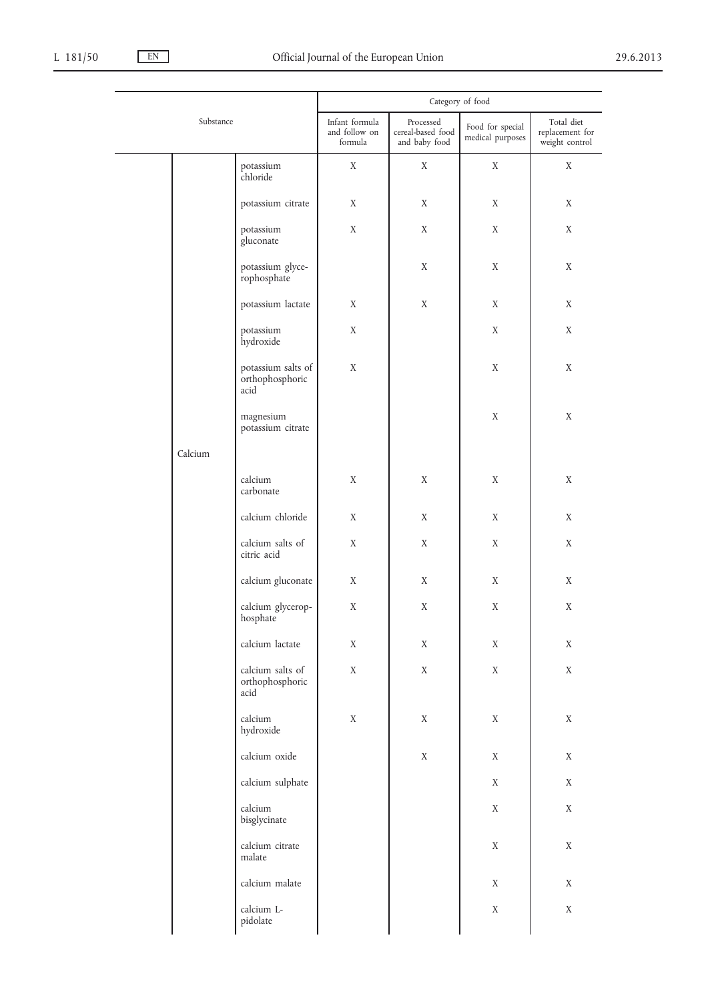|           |         |                                               | Category of food                |                                |                                      |                               |  |
|-----------|---------|-----------------------------------------------|---------------------------------|--------------------------------|--------------------------------------|-------------------------------|--|
| Substance |         |                                               | Infant formula<br>and follow on | Processed<br>cereal-based food | Food for special<br>medical purposes | Total diet<br>replacement for |  |
|           |         | formula                                       | and baby food                   |                                | weight control                       |                               |  |
|           |         | potassium<br>chloride                         | X                               | X                              | X                                    | X                             |  |
|           |         | potassium citrate                             | X                               | X                              | X                                    | X                             |  |
|           |         | potassium<br>gluconate                        | $\mathbf X$                     | X                              | X                                    | $\mathbf X$                   |  |
|           |         | potassium glyce-<br>rophosphate               |                                 | X                              | X                                    | X                             |  |
|           |         | potassium lactate                             | X                               | X                              | X                                    | X                             |  |
|           |         | potassium<br>hydroxide                        | X                               |                                | X                                    | $\mathbf X$                   |  |
|           |         | potassium salts of<br>orthophosphoric<br>acid | X                               |                                | X                                    | X                             |  |
|           |         | magnesium<br>potassium citrate                |                                 |                                | X                                    | $\mathbf X$                   |  |
|           | Calcium |                                               |                                 |                                |                                      |                               |  |
|           |         | calcium<br>carbonate                          | X                               | $\mathbf X$                    | X                                    | $\mathbf X$                   |  |
|           |         | calcium chloride                              | X                               | X                              | X                                    | X                             |  |
|           |         | calcium salts of<br>citric acid               | X                               | X                              | X                                    | X                             |  |
|           |         | calcium gluconate                             | X                               | X                              | X                                    | X                             |  |
|           |         | calcium glycerop-<br>hosphate                 | $\mathbf X$                     | X                              | X                                    | $\mathbf X$                   |  |
|           |         | calcium lactate                               | $\mathbf X$                     | X                              | X                                    | $\mathbf X$                   |  |
|           |         | calcium salts of<br>orthophosphoric<br>acid   | $\mathbf X$                     | $\mathbf X$                    | $\mathbf X$                          | $\mathbf X$                   |  |
|           |         | calcium<br>hydroxide                          | $\mathbf X$                     | $\mathbf X$                    | $\mathbf X$                          | $\mathbf X$                   |  |
|           |         | calcium oxide                                 |                                 | $\mathbf X$                    | $\mathbf X$                          | $\mathbf X$                   |  |
|           |         | calcium sulphate                              |                                 |                                | $\mathbf X$                          | $\mathbf X$                   |  |
|           |         | calcium<br>bisglycinate                       |                                 |                                | $\mathbf X$                          | $\mathbf X$                   |  |
|           |         | calcium citrate<br>malate                     |                                 |                                | $\mathbf X$                          | $\mathbf X$                   |  |
|           |         | calcium malate                                |                                 |                                | $\mathbf X$                          | $\mathbf X$                   |  |
|           |         | calcium L-<br>pidolate                        |                                 |                                | $\mathbf X$                          | $\mathbf X$                   |  |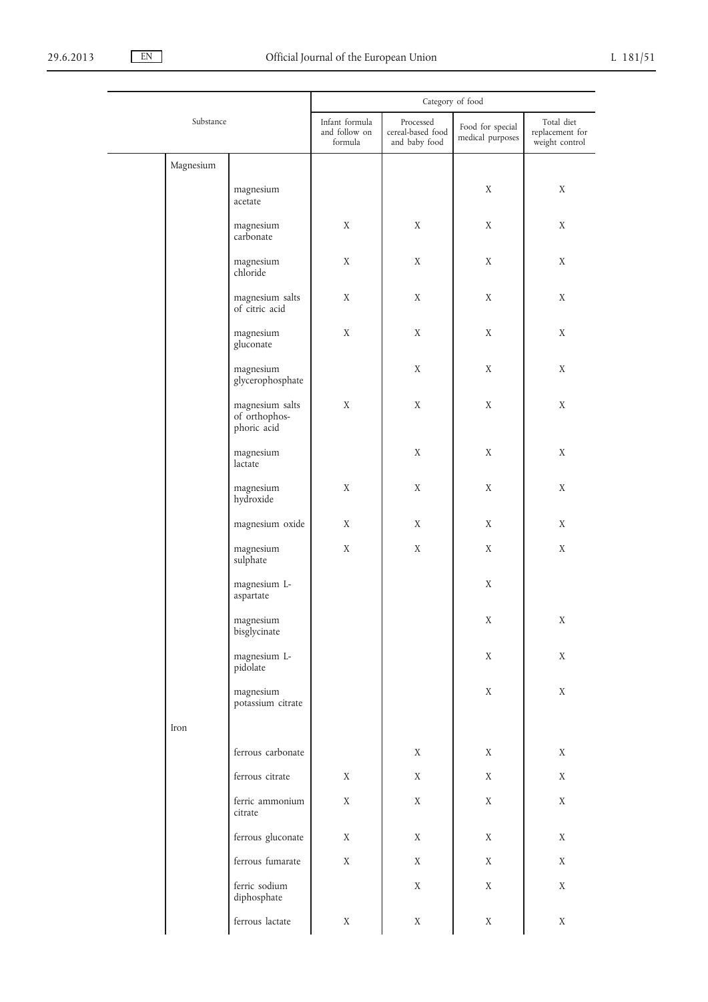|           |           | Category of food                                                  |                                            |                                                 |                                      |                                                 |
|-----------|-----------|-------------------------------------------------------------------|--------------------------------------------|-------------------------------------------------|--------------------------------------|-------------------------------------------------|
| Substance |           |                                                                   | Infant formula<br>and follow on<br>formula | Processed<br>cereal-based food<br>and baby food | Food for special<br>medical purposes | Total diet<br>replacement for<br>weight control |
|           | Magnesium |                                                                   |                                            |                                                 |                                      |                                                 |
|           |           | magnesium<br>acetate                                              |                                            |                                                 | X                                    | X                                               |
|           |           | magnesium<br>carbonate                                            | X                                          | $\mathbf X$                                     | X                                    | X                                               |
|           |           | magnesium<br>chloride                                             | X                                          | X                                               | X                                    | X                                               |
|           |           | magnesium salts<br>of citric acid                                 | X                                          | X                                               | X                                    | X                                               |
|           |           | magnesium<br>gluconate                                            | X                                          | X                                               | X                                    | X                                               |
|           |           | magnesium<br>glycerophosphate                                     |                                            | X                                               | X                                    | X                                               |
|           |           | magnesium salts<br>of orthophos-<br>phoric acid                   | $\mathbf X$                                | X                                               | X                                    | X                                               |
|           |           | magnesium<br>lactate                                              |                                            | $\mathbf X$                                     | X                                    | X                                               |
|           |           | magnesium<br>hydroxide                                            | $\mathbf X$                                | X                                               | X                                    | X                                               |
|           |           | magnesium oxide                                                   | X                                          | X                                               | X                                    | X                                               |
|           |           | magnesium<br>sulphate                                             | X                                          | X                                               | X                                    | X                                               |
|           |           | magnesium L-<br>aspartate                                         |                                            |                                                 | X                                    |                                                 |
|           |           | $\begin{array}{c} \rm{magnesium} \\ \rm{biglycinate} \end{array}$ |                                            |                                                 | X                                    | X                                               |
|           |           | magnesium L-<br>pidolate                                          |                                            |                                                 | X                                    | $\mathbf X$                                     |
|           |           | magnesium<br>potassium citrate                                    |                                            |                                                 | X                                    | X                                               |
|           | Iron      |                                                                   |                                            |                                                 |                                      |                                                 |
|           |           | ferrous carbonate                                                 |                                            | X                                               | X                                    | X                                               |
|           |           | ferrous citrate                                                   | X                                          | X                                               | X                                    | X                                               |
|           |           | ferric ammonium<br>citrate                                        | X                                          | X                                               | X                                    | X                                               |
|           |           | ferrous gluconate                                                 | X                                          | X                                               | X                                    | X                                               |
|           |           | ferrous fumarate                                                  | X                                          | X                                               | X                                    | X                                               |
|           |           | ferric sodium<br>diphosphate                                      |                                            | X                                               | X                                    | $\mathbf X$                                     |
|           |           | ferrous lactate                                                   | X                                          | X                                               | X                                    | X                                               |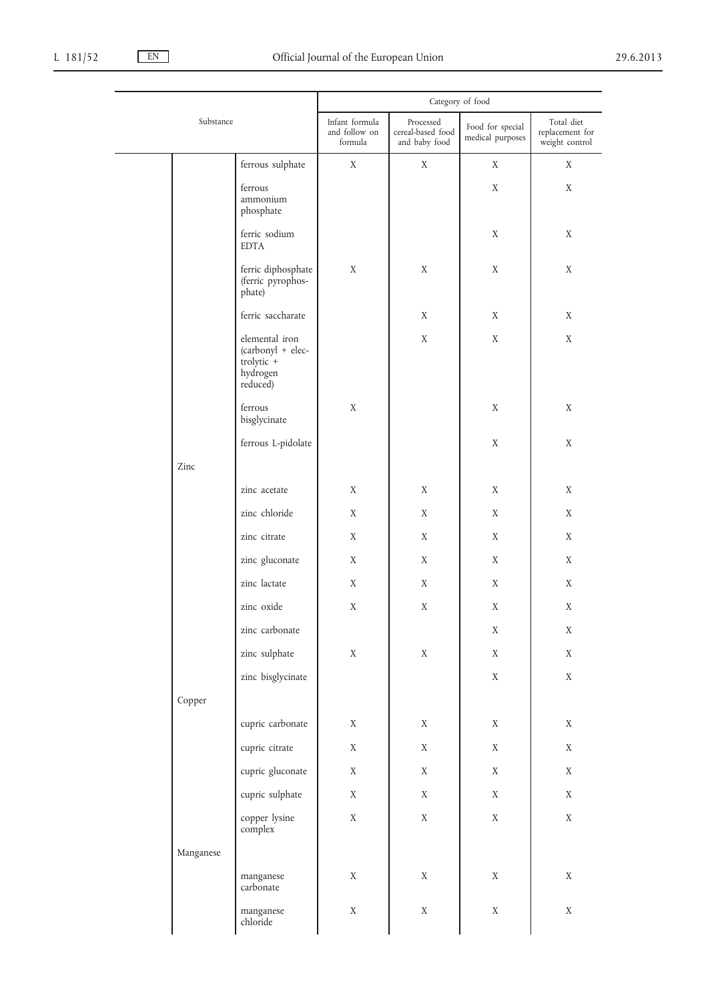|           |                                                                           | Category of food                           |                                                 |                                      |                                                 |  |
|-----------|---------------------------------------------------------------------------|--------------------------------------------|-------------------------------------------------|--------------------------------------|-------------------------------------------------|--|
|           | Substance                                                                 | Infant formula<br>and follow on<br>formula | Processed<br>cereal-based food<br>and baby food | Food for special<br>medical purposes | Total diet<br>replacement for<br>weight control |  |
|           | ferrous sulphate                                                          | X                                          | X                                               | X                                    | X                                               |  |
|           | ferrous<br>ammonium<br>phosphate                                          |                                            |                                                 | X                                    | X                                               |  |
|           | ferric sodium<br><b>EDTA</b>                                              |                                            |                                                 | X                                    | X                                               |  |
|           | ferric diphosphate<br>(ferric pyrophos-<br>phate)                         | X                                          | X                                               | X                                    | X                                               |  |
|           | ferric saccharate                                                         |                                            | X                                               | X                                    | X                                               |  |
|           | elemental iron<br>(carbonyl + elec-<br>trolytic +<br>hydrogen<br>reduced) |                                            | X                                               | X                                    | X                                               |  |
|           | ferrous<br>bisglycinate                                                   | $\mathbf X$                                |                                                 | X                                    | X                                               |  |
|           | ferrous L-pidolate                                                        |                                            |                                                 | X                                    | X                                               |  |
| Zinc      |                                                                           |                                            |                                                 |                                      |                                                 |  |
|           | zinc acetate                                                              | X                                          | X                                               | X                                    | X                                               |  |
|           | zinc chloride                                                             | X                                          | X                                               | X                                    | X                                               |  |
|           | zinc citrate                                                              | X                                          | X                                               | X                                    | X                                               |  |
|           | zinc gluconate                                                            | X                                          | X                                               | X                                    | X                                               |  |
|           | zinc lactate                                                              | X                                          | X                                               | X                                    | X                                               |  |
|           | zinc oxide                                                                | $\mathbf X$                                | $\mathbf X$                                     | X                                    | $\mathbf X$                                     |  |
|           | zinc carbonate                                                            |                                            |                                                 | $\mathbf X$                          | $\mathbf X$                                     |  |
|           | zinc sulphate                                                             | $\mathbf X$                                | $\mathbf X$                                     | $\mathbf X$                          | $\mathbf X$                                     |  |
|           | zinc bisglycinate                                                         |                                            |                                                 | $\mathbf X$                          | $\mathbf X$                                     |  |
| Copper    |                                                                           |                                            |                                                 |                                      |                                                 |  |
|           | cupric carbonate                                                          | $\mathbf X$                                | $\mathbf X$                                     | $\mathbf X$                          | $\mathbf X$                                     |  |
|           | cupric citrate                                                            | $\mathbf X$                                | $\mathbf X$                                     | $\mathbf X$                          | $\mathbf X$                                     |  |
|           | cupric gluconate                                                          | $\mathbf X$                                | $\mathbf X$                                     | $\mathbf X$                          | $\mathbf X$                                     |  |
|           | cupric sulphate                                                           | $\mathbf X$                                | $\mathbf X$                                     | $\mathbf X$                          | $\mathbf X$                                     |  |
|           | copper lysine<br>complex                                                  | $\mathbf X$                                | $\mathbf X$                                     | $\mathbf X$                          | $\mathbf X$                                     |  |
| Manganese |                                                                           |                                            |                                                 |                                      |                                                 |  |
|           | manganese<br>carbonate                                                    | $\mathbf X$                                | $\mathbf X$                                     | $\mathbf X$                          | $\mathbf X$                                     |  |
|           | manganese<br>chloride                                                     | $\mathbf X$                                | $\mathbf X$                                     | $\mathbf X$                          | $\mathbf X$                                     |  |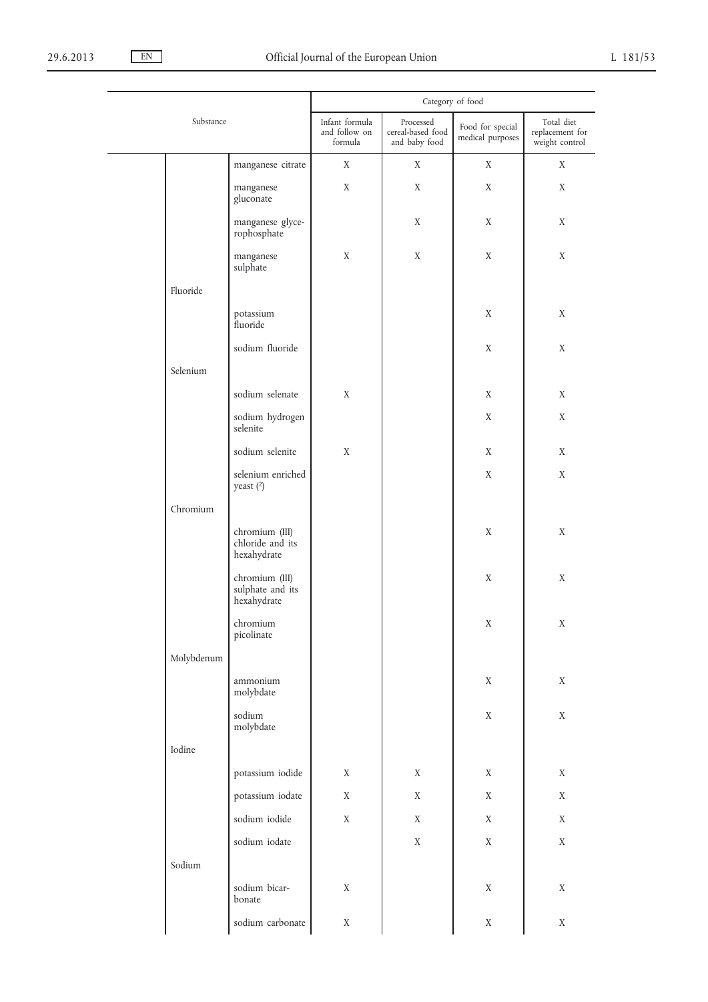$\overline{\phantom{0}}$ 

|           |            | Category of food                                  |                                            |                                                 |                                      |                                                 |
|-----------|------------|---------------------------------------------------|--------------------------------------------|-------------------------------------------------|--------------------------------------|-------------------------------------------------|
| Substance |            |                                                   | Infant formula<br>and follow on<br>formula | Processed<br>cereal-based food<br>and baby food | Food for special<br>medical purposes | Total diet<br>replacement for<br>weight control |
|           |            | manganese citrate                                 | X                                          | X                                               | X                                    | X                                               |
|           |            | manganese<br>gluconate                            | X                                          | X                                               | X                                    | X                                               |
|           |            | manganese glyce-<br>rophosphate                   |                                            | X                                               | X                                    | X                                               |
|           |            | manganese<br>sulphate                             | X                                          | X                                               | X                                    | X                                               |
|           | Fluoride   |                                                   |                                            |                                                 |                                      |                                                 |
|           |            | potassium<br>fluoride                             |                                            |                                                 | X                                    | X                                               |
|           |            | sodium fluoride                                   |                                            |                                                 | X                                    | X                                               |
|           | Selenium   |                                                   |                                            |                                                 |                                      |                                                 |
|           |            | sodium selenate                                   | $\mathbf X$                                |                                                 | X                                    | X                                               |
|           |            | sodium hydrogen<br>selenite                       |                                            |                                                 | X                                    | X                                               |
|           |            | sodium selenite                                   | X                                          |                                                 | X                                    | X                                               |
|           |            | selenium enriched<br>yeast $(2)$                  |                                            |                                                 | X                                    | X                                               |
|           | Chromium   |                                                   |                                            |                                                 |                                      |                                                 |
|           |            | chromium (III)<br>chloride and its<br>hexahydrate |                                            |                                                 | $\mathbf X$                          | X                                               |
|           |            | chromium (III)<br>sulphate and its<br>hexahydrate |                                            |                                                 | X                                    | $\mathbf X$                                     |
|           |            | chromium<br>picolinate                            |                                            |                                                 | $\mathbf X$                          | $\mathbf X$                                     |
|           | Molybdenum |                                                   |                                            |                                                 |                                      |                                                 |
|           |            | ammonium<br>molybdate                             |                                            |                                                 | $\mathbf X$                          | $\mathbf X$                                     |
|           |            | sodium<br>molybdate                               |                                            |                                                 | $\mathbf X$                          | $\mathbf X$                                     |
|           | Iodine     |                                                   |                                            |                                                 |                                      |                                                 |
|           |            | potassium iodide                                  | $\mathbf X$                                | X                                               | $\mathbf X$                          | $\mathbf X$                                     |
|           |            | potassium iodate                                  | $\mathbf X$                                | $\mathbf X$                                     | $\mathbf X$                          | $\mathbf X$                                     |
|           |            | sodium iodide                                     | $\mathbf X$                                | X                                               | $\mathbf X$                          | $\mathbf X$                                     |
|           |            | sodium iodate                                     |                                            | $\mathbf X$                                     | $\mathbf X$                          | $\mathbf X$                                     |
|           | Sodium     |                                                   |                                            |                                                 |                                      |                                                 |
|           |            | sodium bicar-<br>bonate                           | $\mathbf X$                                |                                                 | $\mathbf X$                          | $\mathbf X$                                     |
|           |            | sodium carbonate                                  | $\mathbf X$                                |                                                 | $\mathbf X$                          | $\mathbf X$                                     |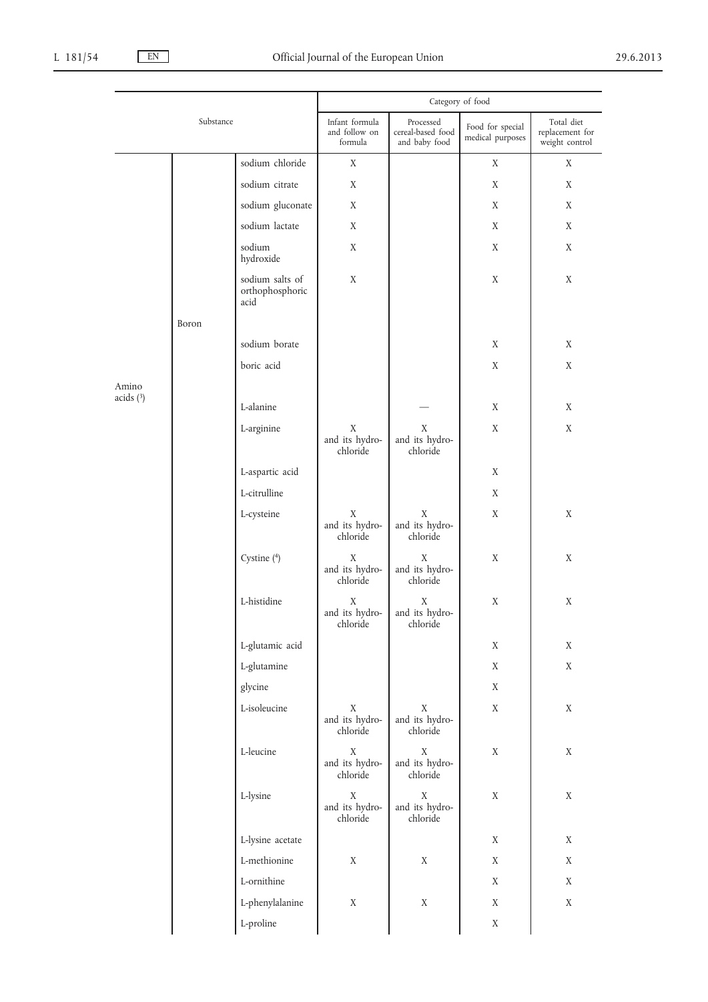|             |       | Category of food                           |                                            |                                                 |                                      |                                                 |
|-------------|-------|--------------------------------------------|--------------------------------------------|-------------------------------------------------|--------------------------------------|-------------------------------------------------|
| Substance   |       |                                            | Infant formula<br>and follow on<br>formula | Processed<br>cereal-based food<br>and baby food | Food for special<br>medical purposes | Total diet<br>replacement for<br>weight control |
|             |       | sodium chloride                            | $\mathbf X$                                |                                                 | X                                    | X                                               |
|             |       | sodium citrate                             | X                                          |                                                 | X                                    | X                                               |
|             |       | sodium gluconate                           | X                                          |                                                 | X                                    | X                                               |
|             |       | sodium lactate                             | X                                          |                                                 | X                                    | X                                               |
|             |       | sodium<br>hydroxide                        | X                                          |                                                 | X                                    | X                                               |
|             |       | sodium salts of<br>orthophosphoric<br>acid | X                                          |                                                 | X                                    | X                                               |
|             | Boron |                                            |                                            |                                                 |                                      |                                                 |
|             |       | sodium borate                              |                                            |                                                 | X                                    | X                                               |
|             |       | boric acid                                 |                                            |                                                 | X                                    | X                                               |
| Amino       |       |                                            |                                            |                                                 |                                      |                                                 |
| acids $(3)$ |       | L-alanine                                  |                                            |                                                 | X                                    | X                                               |
|             |       | L-arginine                                 | X<br>and its hydro-<br>chloride            | $\mathbf X$<br>and its hydro-<br>chloride       | X                                    | $\mathbf X$                                     |
|             |       | L-aspartic acid                            |                                            |                                                 | X                                    |                                                 |
|             |       | L-citrulline                               |                                            |                                                 | X                                    |                                                 |
|             |       | L-cysteine                                 | X<br>and its hydro-<br>chloride            | $\mathbf X$<br>and its hydro-<br>chloride       | X                                    | $\mathbf X$                                     |
|             |       | Cystine (4)                                | X<br>and its hydro-<br>chloride            | X<br>and its hydro-<br>chloride                 | $\mathbf X$                          | $\mathbf X$                                     |
|             |       | L-histidine                                | Χ<br>and its hydro-<br>chloride            | Χ<br>and its hydro-<br>chloride                 | X                                    | $\mathbf X$                                     |
|             |       | L-glutamic acid                            |                                            |                                                 | $\mathbf X$                          | $\mathbf X$                                     |
|             |       | L-glutamine                                |                                            |                                                 | X                                    | $\mathbf X$                                     |
|             |       | glycine                                    |                                            |                                                 | X                                    |                                                 |
|             |       | L-isoleucine                               | $\mathbf X$<br>and its hydro-<br>chloride  | $\mathbf X$<br>and its hydro-<br>chloride       | X                                    | $\mathbf X$                                     |
|             |       | L-leucine                                  | $\mathbf X$<br>and its hydro-<br>chloride  | $\mathbf X$<br>and its hydro-<br>chloride       | X                                    | $\mathbf X$                                     |
|             |       | L-lysine                                   | $\mathbf X$<br>and its hydro-<br>chloride  | $\mathbf X$<br>and its hydro-<br>chloride       | $\mathbf X$                          | $\mathbf X$                                     |
|             |       | L-lysine acetate                           |                                            |                                                 | $\mathbf X$                          | X                                               |
|             |       | L-methionine                               | X                                          | X                                               | $\mathbf X$                          | $\mathbf X$                                     |
|             |       | L-ornithine                                |                                            |                                                 | X                                    | $\mathbf X$                                     |
|             |       | L-phenylalanine                            | $\mathbf X$                                | X                                               | X                                    | $\mathbf X$                                     |
|             |       | L-proline                                  |                                            |                                                 | $\mathbf X$                          |                                                 |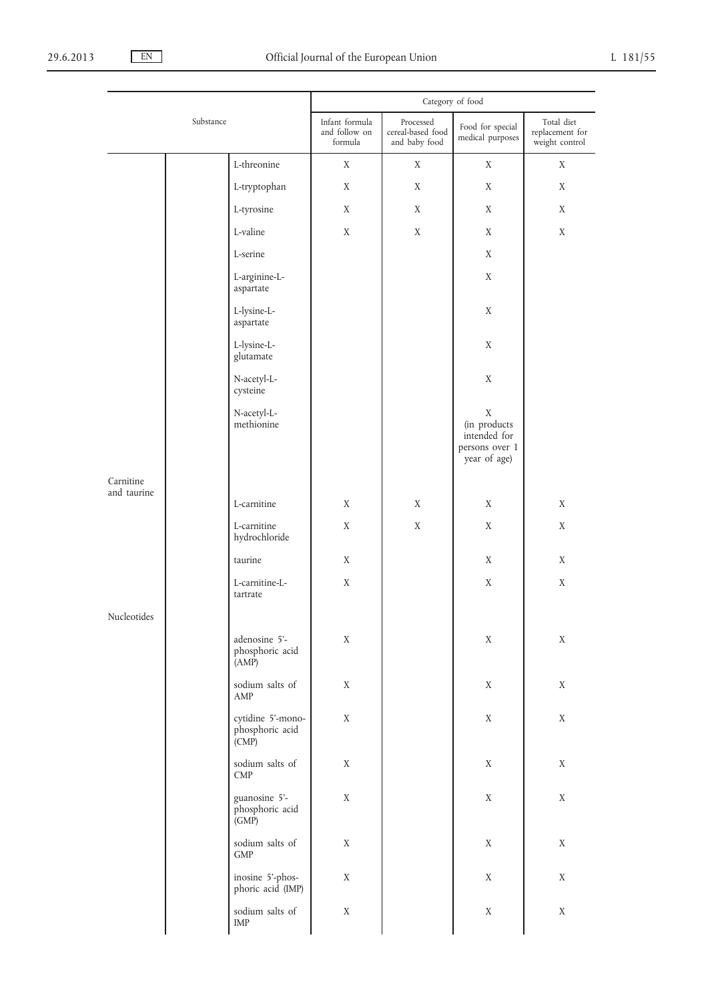|                          |           | Category of food                                       |                                            |                                                 |                                                                               |                                                 |
|--------------------------|-----------|--------------------------------------------------------|--------------------------------------------|-------------------------------------------------|-------------------------------------------------------------------------------|-------------------------------------------------|
|                          | Substance |                                                        | Infant formula<br>and follow on<br>formula | Processed<br>cereal-based food<br>and baby food | Food for special<br>medical purposes                                          | Total diet<br>replacement for<br>weight control |
|                          |           | L-threonine                                            | X                                          | X                                               | X                                                                             | X                                               |
|                          |           | L-tryptophan                                           | X                                          | X                                               | X                                                                             | X                                               |
|                          |           | L-tyrosine                                             | X                                          | X                                               | X                                                                             | X                                               |
|                          |           | L-valine                                               | X                                          | X                                               | X                                                                             | X                                               |
|                          |           | L-serine                                               |                                            |                                                 | X                                                                             |                                                 |
|                          |           | L-arginine-L-<br>aspartate                             |                                            |                                                 | X                                                                             |                                                 |
|                          |           | L-lysine-L-<br>aspartate                               |                                            |                                                 | X                                                                             |                                                 |
|                          |           | L-lysine-L-<br>glutamate                               |                                            |                                                 | X                                                                             |                                                 |
|                          |           | N-acetyl-L-<br>cysteine                                |                                            |                                                 | X                                                                             |                                                 |
|                          |           | N-acetyl-L-<br>methionine                              |                                            |                                                 | $\mathbf X$<br>(in products<br>intended for<br>persons over 1<br>year of age) |                                                 |
| Carnitine<br>and taurine |           |                                                        |                                            |                                                 |                                                                               |                                                 |
|                          |           | L-carnitine                                            | X                                          | X                                               | X                                                                             | X                                               |
|                          |           | L-carnitine<br>hydrochloride                           | X                                          | X                                               | X                                                                             | X                                               |
|                          |           | taurine                                                | X                                          |                                                 | X                                                                             | X                                               |
|                          |           | L-carnitine-L-<br>tartrate                             | X                                          |                                                 | X                                                                             | $\mathbf X$                                     |
| Nucleotides              |           |                                                        |                                            |                                                 |                                                                               |                                                 |
|                          |           | adenosine 5'-<br>phosphoric acid<br>(AMP)              | $\mathbf X$                                |                                                 | $\mathbf X$                                                                   | $\mathbf X$                                     |
|                          |           | sodium salts of<br>AMP                                 | X                                          |                                                 | X                                                                             | $\mathbf X$                                     |
|                          |           | cytidine 5'-mono-<br>phosphoric acid<br>(CMP)          | X                                          |                                                 | X                                                                             | $\mathbf X$                                     |
|                          |           | sodium salts of<br>CMP                                 | X                                          |                                                 | X                                                                             | $\mathbf X$                                     |
|                          |           | guanosine 5'-<br>phosphoric acid<br>$\overline{(GMP)}$ | $\mathbf X$                                |                                                 | $\mathbf X$                                                                   | $\mathbf X$                                     |
|                          |           | sodium salts of<br><b>GMP</b>                          | $\mathbf X$                                |                                                 | X                                                                             | $\mathbf X$                                     |
|                          |           | inosine 5'-phos-<br>phoric acid (IMP)                  | X                                          |                                                 | X                                                                             | $\mathbf X$                                     |
|                          |           | sodium salts of<br>IMP                                 | X                                          |                                                 | X                                                                             | X                                               |